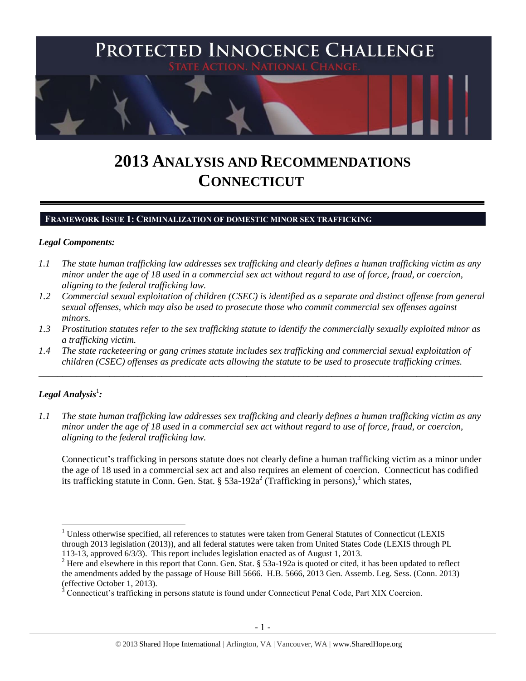

# **2013 ANALYSIS AND RECOMMENDATIONS CONNECTICUT**

## **FRAMEWORK ISSUE 1: CRIMINALIZATION OF DOMESTIC MINOR SEX TRAFFICKING**

#### *Legal Components:*

- *1.1 The state human trafficking law addresses sex trafficking and clearly defines a human trafficking victim as any minor under the age of 18 used in a commercial sex act without regard to use of force, fraud, or coercion, aligning to the federal trafficking law.*
- *1.2 Commercial sexual exploitation of children (CSEC) is identified as a separate and distinct offense from general sexual offenses, which may also be used to prosecute those who commit commercial sex offenses against minors.*
- *1.3 Prostitution statutes refer to the sex trafficking statute to identify the commercially sexually exploited minor as a trafficking victim.*

\_\_\_\_\_\_\_\_\_\_\_\_\_\_\_\_\_\_\_\_\_\_\_\_\_\_\_\_\_\_\_\_\_\_\_\_\_\_\_\_\_\_\_\_\_\_\_\_\_\_\_\_\_\_\_\_\_\_\_\_\_\_\_\_\_\_\_\_\_\_\_\_\_\_\_\_\_\_\_\_\_\_\_\_\_\_\_\_\_\_\_\_\_\_

*1.4 The state racketeering or gang crimes statute includes sex trafficking and commercial sexual exploitation of children (CSEC) offenses as predicate acts allowing the statute to be used to prosecute trafficking crimes.* 

# $\bm{L}$ egal Analysis $^1$ :

 $\overline{a}$ 

*1.1 The state human trafficking law addresses sex trafficking and clearly defines a human trafficking victim as any minor under the age of 18 used in a commercial sex act without regard to use of force, fraud, or coercion, aligning to the federal trafficking law.*

<span id="page-0-0"></span>Connecticut's trafficking in persons statute does not clearly define a human trafficking victim as a minor under the age of 18 used in a commercial sex act and also requires an element of coercion. Connecticut has codified its trafficking statute in Conn. Gen. Stat. § 53a-192a<sup>2</sup> (Trafficking in persons),<sup>3</sup> which states,

<sup>&</sup>lt;sup>1</sup> Unless otherwise specified, all references to statutes were taken from General Statutes of Connecticut (LEXIS through 2013 legislation (2013)), and all federal statutes were taken from United States Code (LEXIS through PL 113-13, approved 6/3/3). This report includes legislation enacted as of August 1, 2013.

<sup>&</sup>lt;sup>2</sup> Here and elsewhere in this report that Conn. Gen. Stat. § 53a-192a is quoted or cited, it has been updated to reflect the amendments added by the passage of House Bill 5666. H.B. 5666, 2013 Gen. Assemb. Leg. Sess. (Conn. 2013) (effective October 1, 2013).

<sup>&</sup>lt;sup>3</sup> Connecticut's trafficking in persons statute is found under Connecticut Penal Code, Part XIX Coercion.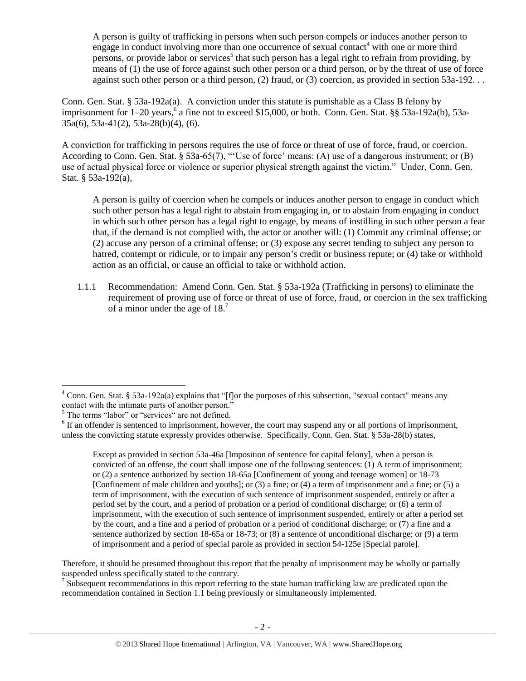A person is guilty of trafficking in persons when such person compels or induces another person to engage in conduct involving more than one occurrence of sexual contact<sup>4</sup> with one or more third persons, or provide labor or services<sup>5</sup> that such person has a legal right to refrain from providing, by means of (1) the use of force against such other person or a third person, or by the threat of use of force against such other person or a third person, (2) fraud, or (3) coercion, as provided in section 53a-192. . .

Conn. Gen. Stat. § 53a-192a(a). A conviction under this statute is punishable as a Class B felony by imprisonment for 1–20 years, 6 a fine not to exceed \$15,000, or both. Conn. Gen. Stat. §§ 53a-192a(b), 53a-35a(6), 53a-41(2), 53a-28(b)(4), (6).

A conviction for trafficking in persons requires the use of force or threat of use of force, fraud, or coercion. According to Conn. Gen. Stat. § 53a-65(7), "'Use of force' means: (A) use of a dangerous instrument; or (B) use of actual physical force or violence or superior physical strength against the victim." Under, Conn. Gen. Stat. § 53a-192(a),

A person is guilty of coercion when he compels or induces another person to engage in conduct which such other person has a legal right to abstain from engaging in, or to abstain from engaging in conduct in which such other person has a legal right to engage, by means of instilling in such other person a fear that, if the demand is not complied with, the actor or another will: (1) Commit any criminal offense; or (2) accuse any person of a criminal offense; or (3) expose any secret tending to subject any person to hatred, contempt or ridicule, or to impair any person's credit or business repute; or (4) take or withhold action as an official, or cause an official to take or withhold action.

1.1.1 Recommendation: Amend Conn. Gen. Stat. § 53a-192a (Trafficking in persons) to eliminate the requirement of proving use of force or threat of use of force, fraud, or coercion in the sex trafficking of a minor under the age of 18.<sup>7</sup>

 $\overline{a}$ 

Except as provided in section 53a-46a [Imposition of sentence for capital felony], when a person is convicted of an offense, the court shall impose one of the following sentences: (1) A term of imprisonment; or (2) a sentence authorized by section 18-65a [Confinement of young and teenage women] or 18-73 [Confinement of male children and youths]; or (3) a fine; or (4) a term of imprisonment and a fine; or (5) a term of imprisonment, with the execution of such sentence of imprisonment suspended, entirely or after a period set by the court, and a period of probation or a period of conditional discharge; or (6) a term of imprisonment, with the execution of such sentence of imprisonment suspended, entirely or after a period set by the court, and a fine and a period of probation or a period of conditional discharge; or (7) a fine and a sentence authorized by section 18-65a or 18-73; or (8) a sentence of unconditional discharge; or (9) a term of imprisonment and a period of special parole as provided in section 54-125e [Special parole].

Therefore, it should be presumed throughout this report that the penalty of imprisonment may be wholly or partially suspended unless specifically stated to the contrary.

 $<sup>7</sup>$  Subsequent recommendations in this report referring to the state human trafficking law are predicated upon the</sup> recommendation contained in Section 1.1 being previously or simultaneously implemented.

 $4$  Conn. Gen. Stat. § 53a-192a(a) explains that "[f]or the purposes of this subsection, "sexual contact" means any contact with the intimate parts of another person."

<sup>&</sup>lt;sup>5</sup> The terms "labor" or "services" are not defined.

 $6$  If an offender is sentenced to imprisonment, however, the court may suspend any or all portions of imprisonment, unless the convicting statute expressly provides otherwise. Specifically, Conn. Gen. Stat. § 53a-28(b) states,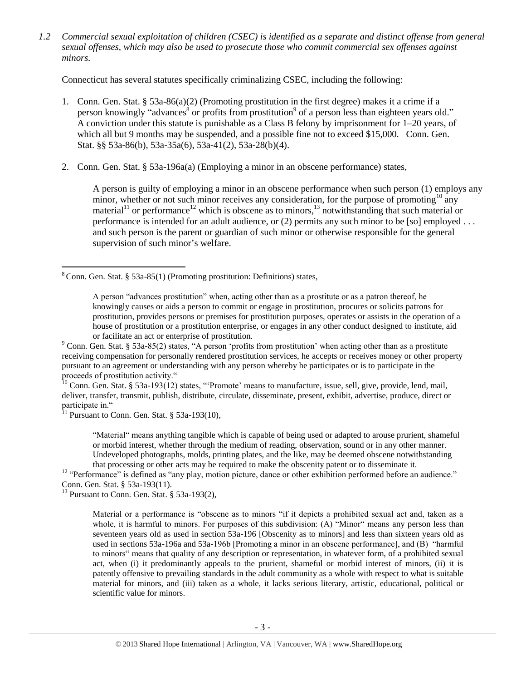*1.2 Commercial sexual exploitation of children (CSEC) is identified as a separate and distinct offense from general sexual offenses, which may also be used to prosecute those who commit commercial sex offenses against minors.*

Connecticut has several statutes specifically criminalizing CSEC, including the following:

- 1. Conn. Gen. Stat. § 53a-86(a)(2) (Promoting prostitution in the first degree) makes it a crime if a person knowingly "advances<sup>8</sup> or profits from prostitution<sup>9</sup> of a person less than eighteen years old." A conviction under this statute is punishable as a Class B felony by imprisonment for 1–20 years, of which all but 9 months may be suspended, and a possible fine not to exceed \$15,000. Conn. Gen. Stat. §§ 53a-86(b), 53a-35a(6), 53a-41(2), 53a-28(b)(4).
- 2. Conn. Gen. Stat. § 53a-196a(a) (Employing a minor in an obscene performance) states,

<span id="page-2-5"></span><span id="page-2-4"></span><span id="page-2-3"></span><span id="page-2-2"></span><span id="page-2-1"></span><span id="page-2-0"></span>A person is guilty of employing a minor in an obscene performance when such person (1) employs any minor, whether or not such minor receives any consideration, for the purpose of promoting<sup>10</sup> any material<sup>11</sup> or performance<sup>12</sup> which is obscene as to minors,<sup>13</sup> notwithstanding that such material or performance is intended for an adult audience, or (2) permits any such minor to be [so] employed . . . and such person is the parent or guardian of such minor or otherwise responsible for the general supervision of such minor's welfare.

 $10$  Conn. Gen. Stat. § 53a-193(12) states, "Promote' means to manufacture, issue, sell, give, provide, lend, mail, deliver, transfer, transmit, publish, distribute, circulate, disseminate, present, exhibit, advertise, produce, direct or participate in."

 $11$  Pursuant to Conn. Gen. Stat. § 53a-193(10),

 $\overline{a}$ 

"Material" means anything tangible which is capable of being used or adapted to arouse prurient, shameful or morbid interest, whether through the medium of reading, observation, sound or in any other manner. Undeveloped photographs, molds, printing plates, and the like, may be deemed obscene notwithstanding that processing or other acts may be required to make the obscenity patent or to disseminate it.

<sup>12</sup> "Performance" is defined as "any play, motion picture, dance or other exhibition performed before an audience." Conn. Gen. Stat. § 53a-193(11).

 $13$  Pursuant to Conn. Gen. Stat.  $\frac{13}{2}$  53a-193(2),

Material or a performance is "obscene as to minors "if it depicts a prohibited sexual act and, taken as a whole, it is harmful to minors. For purposes of this subdivision: (A) "Minor" means any person less than seventeen years old as used in section 53a-196 [Obscenity as to minors] and less than sixteen years old as used in sections 53a-196a and 53a-196b [Promoting a minor in an obscene performance], and (B) "harmful to minors" means that quality of any description or representation, in whatever form, of a prohibited sexual act, when (i) it predominantly appeals to the prurient, shameful or morbid interest of minors, (ii) it is patently offensive to prevailing standards in the adult community as a whole with respect to what is suitable material for minors, and (iii) taken as a whole, it lacks serious literary, artistic, educational, political or scientific value for minors.

 $8$  Conn. Gen. Stat. § 53a-85(1) (Promoting prostitution: Definitions) states,

A person "advances prostitution" when, acting other than as a prostitute or as a patron thereof, he knowingly causes or aids a person to commit or engage in prostitution, procures or solicits patrons for prostitution, provides persons or premises for prostitution purposes, operates or assists in the operation of a house of prostitution or a prostitution enterprise, or engages in any other conduct designed to institute, aid or facilitate an act or enterprise of prostitution.

<sup>&</sup>lt;sup>9</sup> Conn. Gen. Stat. § 53a-85(2) states, "A person 'profits from prostitution' when acting other than as a prostitute receiving compensation for personally rendered prostitution services, he accepts or receives money or other property pursuant to an agreement or understanding with any person whereby he participates or is to participate in the proceeds of prostitution activity."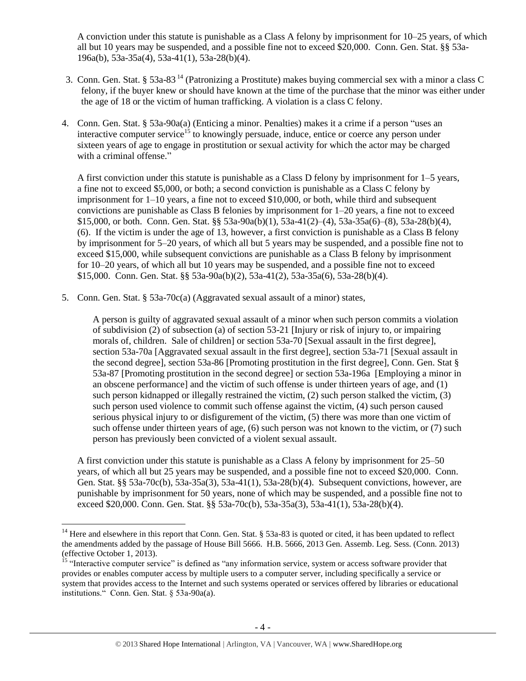<span id="page-3-0"></span>A conviction under this statute is punishable as a Class A felony by imprisonment for 10–25 years, of which all but 10 years may be suspended, and a possible fine not to exceed \$20,000. Conn. Gen. Stat. §§ 53a-196a(b), 53a-35a(4), 53a-41(1), 53a-28(b)(4).

- 3. Conn. Gen. Stat. § 53a-83 <sup>14</sup> (Patronizing a Prostitute) makes buying commercial sex with a minor a class C felony, if the buyer knew or should have known at the time of the purchase that the minor was either under the age of 18 or the victim of human trafficking. A violation is a class C felony.
- 4. Conn. Gen. Stat. § 53a-90a(a) (Enticing a minor. Penalties) makes it a crime if a person "uses an interactive computer service<sup>15</sup> to knowingly persuade, induce, entice or coerce any person under sixteen years of age to engage in prostitution or sexual activity for which the actor may be charged with a criminal offense."

<span id="page-3-1"></span>A first conviction under this statute is punishable as a Class D felony by imprisonment for 1–5 years, a fine not to exceed \$5,000, or both; a second conviction is punishable as a Class C felony by imprisonment for 1–10 years, a fine not to exceed \$10,000, or both, while third and subsequent convictions are punishable as Class B felonies by imprisonment for 1–20 years, a fine not to exceed \$15,000, or both. Conn. Gen. Stat. §§ 53a-90a(b)(1), 53a-41(2)–(4), 53a-35a(6)–(8), 53a-28(b)(4), (6). If the victim is under the age of 13, however, a first conviction is punishable as a Class B felony by imprisonment for 5–20 years, of which all but 5 years may be suspended, and a possible fine not to exceed \$15,000, while subsequent convictions are punishable as a Class B felony by imprisonment for 10–20 years, of which all but 10 years may be suspended, and a possible fine not to exceed \$15,000. Conn. Gen. Stat. §§ 53a-90a(b)(2), 53a-41(2), 53a-35a(6), 53a-28(b)(4).

5. Conn. Gen. Stat. § 53a-70c(a) (Aggravated sexual assault of a minor) states,

A person is guilty of aggravated sexual assault of a minor when such person commits a violation of subdivision (2) of subsection (a) of section 53-21 [Injury or risk of injury to, or impairing morals of, children. Sale of children] or section 53a-70 [Sexual assault in the first degree], section 53a-70a [Aggravated sexual assault in the first degree], section 53a-71 [Sexual assault in the second degree], section 53a-86 [Promoting prostitution in the first degree], Conn. Gen. Stat § 53a-87 [Promoting prostitution in the second degree] or section 53a-196a [Employing a minor in an obscene performance] and the victim of such offense is under thirteen years of age, and (1) such person kidnapped or illegally restrained the victim, (2) such person stalked the victim, (3) such person used violence to commit such offense against the victim, (4) such person caused serious physical injury to or disfigurement of the victim, (5) there was more than one victim of such offense under thirteen years of age, (6) such person was not known to the victim, or (7) such person has previously been convicted of a violent sexual assault.

A first conviction under this statute is punishable as a Class A felony by imprisonment for 25–50 years, of which all but 25 years may be suspended, and a possible fine not to exceed \$20,000. Conn. Gen. Stat. §§ 53a-70c(b), 53a-35a(3), 53a-41(1), 53a-28(b)(4). Subsequent convictions, however, are punishable by imprisonment for 50 years, none of which may be suspended, and a possible fine not to exceed \$20,000. Conn. Gen. Stat. §§ 53a-70c(b), 53a-35a(3), 53a-41(1), 53a-28(b)(4).

 $\overline{a}$ <sup>14</sup> Here and elsewhere in this report that Conn. Gen. Stat.  $\S$  53a-83 is quoted or cited, it has been updated to reflect the amendments added by the passage of House Bill 5666. H.B. 5666, 2013 Gen. Assemb. Leg. Sess. (Conn. 2013) (effective October 1, 2013).

<sup>&</sup>lt;sup>15</sup> "Interactive computer service" is defined as "any information service, system or access software provider that provides or enables computer access by multiple users to a computer server, including specifically a service or system that provides access to the Internet and such systems operated or services offered by libraries or educational institutions." Conn. Gen. Stat. § 53a-90a(a).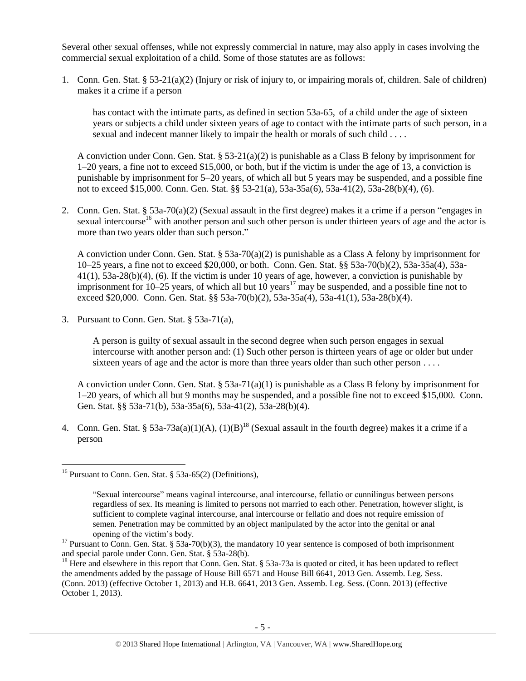Several other sexual offenses, while not expressly commercial in nature, may also apply in cases involving the commercial sexual exploitation of a child. Some of those statutes are as follows:

1. Conn. Gen. Stat. § 53-21(a)(2) (Injury or risk of injury to, or impairing morals of, children. Sale of children) makes it a crime if a person

has contact with the intimate parts, as defined in section 53a-65, of a child under the age of sixteen years or subjects a child under sixteen years of age to contact with the intimate parts of such person, in a sexual and indecent manner likely to impair the health or morals of such child . . . .

A conviction under Conn. Gen. Stat.  $\S 53-21(a)(2)$  is punishable as a Class B felony by imprisonment for 1–20 years, a fine not to exceed \$15,000, or both, but if the victim is under the age of 13, a conviction is punishable by imprisonment for 5–20 years, of which all but 5 years may be suspended, and a possible fine not to exceed \$15,000. Conn. Gen. Stat. §§ 53-21(a), 53a-35a(6), 53a-41(2), 53a-28(b)(4), (6).

2. Conn. Gen. Stat. § 53a-70(a)(2) (Sexual assault in the first degree) makes it a crime if a person "engages in sexual intercourse<sup>16</sup> with another person and such other person is under thirteen years of age and the actor is more than two years older than such person."

A conviction under Conn. Gen. Stat. § 53a-70(a)(2) is punishable as a Class A felony by imprisonment for 10–25 years, a fine not to exceed \$20,000, or both. Conn. Gen. Stat. §§ 53a-70(b)(2), 53a-35a(4), 53a-41(1), 53a-28(b)(4), (6). If the victim is under 10 years of age, however, a conviction is punishable by imprisonment for  $10-25$  years, of which all but  $10$  years<sup>17</sup> may be suspended, and a possible fine not to exceed \$20,000. Conn. Gen. Stat. §§ 53a-70(b)(2), 53a-35a(4), 53a-41(1), 53a-28(b)(4).

3. Pursuant to Conn. Gen. Stat. § 53a-71(a),

A person is guilty of sexual assault in the second degree when such person engages in sexual intercourse with another person and: (1) Such other person is thirteen years of age or older but under sixteen years of age and the actor is more than three years older than such other person  $\dots$ .

A conviction under Conn. Gen. Stat.  $\S 53a-71(a)(1)$  is punishable as a Class B felony by imprisonment for 1–20 years, of which all but 9 months may be suspended, and a possible fine not to exceed \$15,000. Conn. Gen. Stat. §§ 53a-71(b), 53a-35a(6), 53a-41(2), 53a-28(b)(4).

4. Conn. Gen. Stat. §  $53a-73a(a)(1)(A)$ ,  $(1)(B)^{18}$  (Sexual assault in the fourth degree) makes it a crime if a person

<sup>&</sup>lt;sup>16</sup> Pursuant to Conn. Gen. Stat.  $\frac{1}{5}$  53a-65(2) (Definitions).

<span id="page-4-0"></span><sup>&</sup>quot;Sexual intercourse" means vaginal intercourse, anal intercourse, fellatio or cunnilingus between persons regardless of sex. Its meaning is limited to persons not married to each other. Penetration, however slight, is sufficient to complete vaginal intercourse, anal intercourse or fellatio and does not require emission of semen. Penetration may be committed by an object manipulated by the actor into the genital or anal opening of the victim's body.

<sup>&</sup>lt;sup>17</sup> Pursuant to Conn. Gen. Stat. § 53a-70(b)(3), the mandatory 10 year sentence is composed of both imprisonment and special parole under Conn. Gen. Stat. § 53a-28(b).

<sup>&</sup>lt;sup>18</sup> Here and elsewhere in this report that Conn. Gen. Stat. § 53a-73a is quoted or cited, it has been updated to reflect the amendments added by the passage of House Bill 6571 and House Bill 6641, 2013 Gen. Assemb. Leg. Sess. (Conn. 2013) (effective October 1, 2013) and H.B. 6641, 2013 Gen. Assemb. Leg. Sess. (Conn. 2013) (effective October 1, 2013).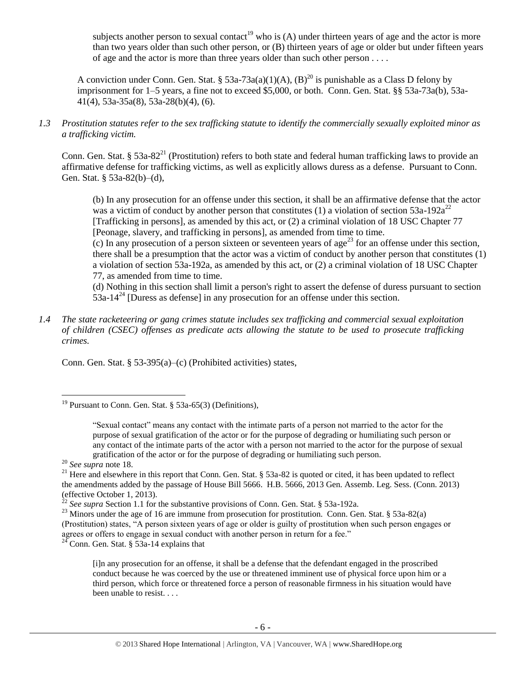subjects another person to sexual contact<sup>19</sup> who is (A) under thirteen years of age and the actor is more than two years older than such other person, or (B) thirteen years of age or older but under fifteen years of age and the actor is more than three years older than such other person . . . .

A conviction under Conn. Gen. Stat. § 53a-73a(a)(1)(A), (B)<sup>20</sup> is punishable as a Class D felony by imprisonment for 1–5 years, a fine not to exceed \$5,000, or both. Conn. Gen. Stat. §§ 53a-73a(b), 53a-41(4), 53a-35a(8), 53a-28(b)(4), (6).

*1.3 Prostitution statutes refer to the sex trafficking statute to identify the commercially sexually exploited minor as a trafficking victim.* 

Conn. Gen. Stat. § 53a-82<sup>21</sup> (Prostitution) refers to both state and federal human trafficking laws to provide an affirmative defense for trafficking victims, as well as explicitly allows duress as a defense. Pursuant to Conn. Gen. Stat. § 53a-82(b)–(d),

<span id="page-5-0"></span>(b) In any prosecution for an offense under this section, it shall be an affirmative defense that the actor was a victim of conduct by another person that constitutes (1) a violation of section  $53a-192a^{22}$ [Trafficking in persons], as amended by this act, or (2) a criminal violation of 18 USC Chapter 77 [Peonage, slavery, and trafficking in persons], as amended from time to time.

 $\overline{c}$ ) In any prosecution of a person sixteen or seventeen years of age<sup>23</sup> for an offense under this section, there shall be a presumption that the actor was a victim of conduct by another person that constitutes (1) a violation of section 53a-192a, as amended by this act, or (2) a criminal violation of 18 USC Chapter 77, as amended from time to time.

(d) Nothing in this section shall limit a person's right to assert the defense of duress pursuant to section  $53a-14<sup>24</sup>$  [Duress as defense] in any prosecution for an offense under this section.

*1.4 The state racketeering or gang crimes statute includes sex trafficking and commercial sexual exploitation of children (CSEC) offenses as predicate acts allowing the statute to be used to prosecute trafficking crimes.* 

Conn. Gen. Stat. § 53-395(a)–(c) (Prohibited activities) states,

 $\overline{a}$ 

<sup>24</sup> Conn. Gen. Stat. § 53a-14 explains that

<sup>&</sup>lt;sup>19</sup> Pursuant to Conn. Gen. Stat. § 53a-65(3) (Definitions),

<sup>&</sup>quot;Sexual contact" means any contact with the intimate parts of a person not married to the actor for the purpose of sexual gratification of the actor or for the purpose of degrading or humiliating such person or any contact of the intimate parts of the actor with a person not married to the actor for the purpose of sexual gratification of the actor or for the purpose of degrading or humiliating such person.

<sup>20</sup> *See supra* note [18.](#page-4-0)

<sup>&</sup>lt;sup>21</sup> Here and elsewhere in this report that Conn. Gen. Stat. § 53a-82 is quoted or cited, it has been updated to reflect the amendments added by the passage of House Bill 5666. H.B. 5666, 2013 Gen. Assemb. Leg. Sess. (Conn. 2013) (effective October 1, 2013).

<sup>22</sup> *See supra* Section 1.1 for the substantive provisions of Conn. Gen. Stat. § 53a-192a.

<sup>&</sup>lt;sup>23</sup> Minors under the age of 16 are immune from prosecution for prostitution. Conn. Gen. Stat. § 53a-82(a) (Prostitution) states, "A person sixteen years of age or older is guilty of prostitution when such person engages or agrees or offers to engage in sexual conduct with another person in return for a fee."

<sup>[</sup>i]n any prosecution for an offense, it shall be a defense that the defendant engaged in the proscribed conduct because he was coerced by the use or threatened imminent use of physical force upon him or a third person, which force or threatened force a person of reasonable firmness in his situation would have been unable to resist. . . .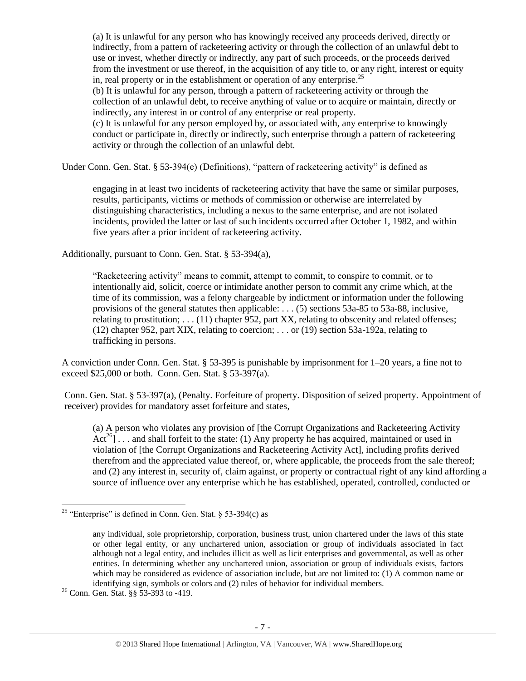(a) It is unlawful for any person who has knowingly received any proceeds derived, directly or indirectly, from a pattern of racketeering activity or through the collection of an unlawful debt to use or invest, whether directly or indirectly, any part of such proceeds, or the proceeds derived from the investment or use thereof, in the acquisition of any title to, or any right, interest or equity in, real property or in the establishment or operation of any enterprise.<sup>25</sup>

(b) It is unlawful for any person, through a pattern of racketeering activity or through the collection of an unlawful debt, to receive anything of value or to acquire or maintain, directly or indirectly, any interest in or control of any enterprise or real property.

(c) It is unlawful for any person employed by, or associated with, any enterprise to knowingly conduct or participate in, directly or indirectly, such enterprise through a pattern of racketeering activity or through the collection of an unlawful debt.

Under Conn. Gen. Stat. § 53-394(e) (Definitions), "pattern of racketeering activity" is defined as

engaging in at least two incidents of racketeering activity that have the same or similar purposes, results, participants, victims or methods of commission or otherwise are interrelated by distinguishing characteristics, including a nexus to the same enterprise, and are not isolated incidents, provided the latter or last of such incidents occurred after October 1, 1982, and within five years after a prior incident of racketeering activity.

Additionally, pursuant to Conn. Gen. Stat. § 53-394(a),

"Racketeering activity" means to commit, attempt to commit, to conspire to commit, or to intentionally aid, solicit, coerce or intimidate another person to commit any crime which, at the time of its commission, was a felony chargeable by indictment or information under the following provisions of the general statutes then applicable: . . . (5) sections 53a-85 to 53a-88, inclusive, relating to prostitution;  $\dots$  (11) chapter 952, part XX, relating to obscenity and related offenses; (12) chapter 952, part XIX, relating to coercion; . . . or (19) section 53a-192a, relating to trafficking in persons.

A conviction under Conn. Gen. Stat. § 53-395 is punishable by imprisonment for 1–20 years, a fine not to exceed \$25,000 or both. Conn. Gen. Stat. § 53-397(a).

Conn. Gen. Stat. § 53-397(a), (Penalty. Forfeiture of property. Disposition of seized property. Appointment of receiver) provides for mandatory asset forfeiture and states,

(a) A person who violates any provision of [the Corrupt Organizations and Racketeering Activity Act<sup>26</sup>] . . . and shall forfeit to the state: (1) Any property he has acquired, maintained or used in violation of [the Corrupt Organizations and Racketeering Activity Act], including profits derived therefrom and the appreciated value thereof, or, where applicable, the proceeds from the sale thereof; and (2) any interest in, security of, claim against, or property or contractual right of any kind affording a source of influence over any enterprise which he has established, operated, controlled, conducted or

<sup>&</sup>lt;sup>25</sup> "Enterprise" is defined in Conn. Gen. Stat. § 53-394 $(c)$  as

any individual, sole proprietorship, corporation, business trust, union chartered under the laws of this state or other legal entity, or any unchartered union, association or group of individuals associated in fact although not a legal entity, and includes illicit as well as licit enterprises and governmental, as well as other entities. In determining whether any unchartered union, association or group of individuals exists, factors which may be considered as evidence of association include, but are not limited to: (1) A common name or identifying sign, symbols or colors and (2) rules of behavior for individual members.

<sup>26</sup> Conn. Gen. Stat. §§ 53-393 to -419.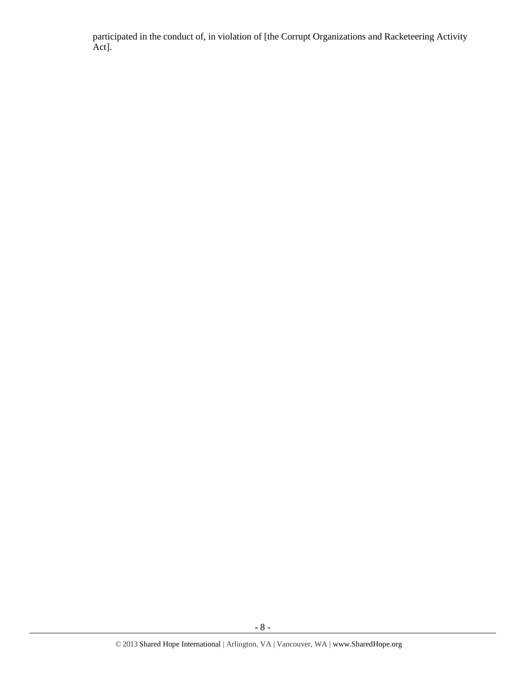participated in the conduct of, in violation of [the Corrupt Organizations and Racketeering Activity Act].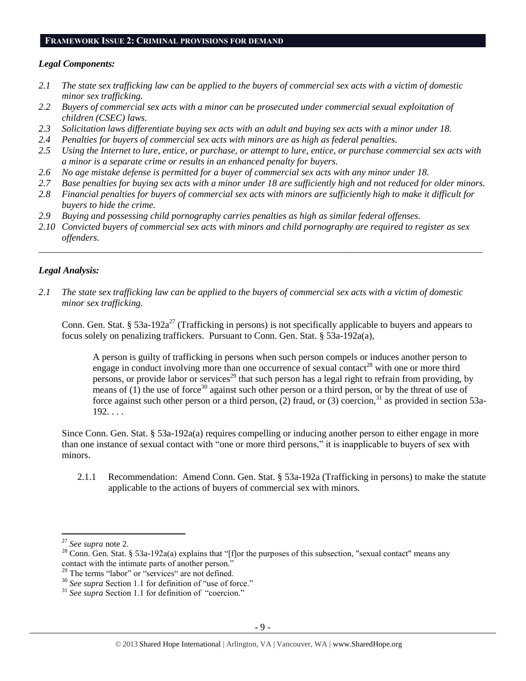#### **FRAMEWORK ISSUE 2: CRIMINAL PROVISIONS FOR DEMAND**

#### *Legal Components:*

- *2.1 The state sex trafficking law can be applied to the buyers of commercial sex acts with a victim of domestic minor sex trafficking.*
- *2.2 Buyers of commercial sex acts with a minor can be prosecuted under commercial sexual exploitation of children (CSEC) laws.*
- *2.3 Solicitation laws differentiate buying sex acts with an adult and buying sex acts with a minor under 18.*
- *2.4 Penalties for buyers of commercial sex acts with minors are as high as federal penalties.*
- *2.5 Using the Internet to lure, entice, or purchase, or attempt to lure, entice, or purchase commercial sex acts with a minor is a separate crime or results in an enhanced penalty for buyers.*
- *2.6 No age mistake defense is permitted for a buyer of commercial sex acts with any minor under 18.*
- *2.7 Base penalties for buying sex acts with a minor under 18 are sufficiently high and not reduced for older minors.*
- *2.8 Financial penalties for buyers of commercial sex acts with minors are sufficiently high to make it difficult for buyers to hide the crime.*
- *2.9 Buying and possessing child pornography carries penalties as high as similar federal offenses.*
- *2.10 Convicted buyers of commercial sex acts with minors and child pornography are required to register as sex offenders.*

\_\_\_\_\_\_\_\_\_\_\_\_\_\_\_\_\_\_\_\_\_\_\_\_\_\_\_\_\_\_\_\_\_\_\_\_\_\_\_\_\_\_\_\_\_\_\_\_\_\_\_\_\_\_\_\_\_\_\_\_\_\_\_\_\_\_\_\_\_\_\_\_\_\_\_\_\_\_\_\_\_\_\_\_\_\_\_\_\_\_\_\_\_\_

## *Legal Analysis:*

*2.1 The state sex trafficking law can be applied to the buyers of commercial sex acts with a victim of domestic minor sex trafficking.*

Conn. Gen. Stat. § 53a-192a<sup>27</sup> (Trafficking in persons) is not specifically applicable to buyers and appears to focus solely on penalizing traffickers. Pursuant to Conn. Gen. Stat. § 53a-192a(a),

A person is guilty of trafficking in persons when such person compels or induces another person to engage in conduct involving more than one occurrence of sexual contact<sup>28</sup> with one or more third persons, or provide labor or services<sup>29</sup> that such person has a legal right to refrain from providing, by means of  $(1)$  the use of force<sup>30</sup> against such other person or a third person, or by the threat of use of force against such other person or a third person, (2) fraud, or (3) coercion,<sup>31</sup> as provided in section 53a-192. . . .

Since Conn. Gen. Stat. § 53a-192a(a) requires compelling or inducing another person to either engage in more than one instance of sexual contact with "one or more third persons," it is inapplicable to buyers of sex with minors.

2.1.1 Recommendation: Amend Conn. Gen. Stat. § 53a-192a (Trafficking in persons) to make the statute applicable to the actions of buyers of commercial sex with minors.

<sup>27</sup> *See supra* note [2.](#page-0-0)

<sup>&</sup>lt;sup>28</sup> Conn. Gen. Stat. § 53a-192a(a) explains that "[f]or the purposes of this subsection, "sexual contact" means any contact with the intimate parts of another person."

<sup>&</sup>lt;sup>29</sup> The terms "labor" or "services" are not defined.

<sup>30</sup> *See supra* Section 1.1 for definition of "use of force."

<sup>31</sup> *See supra* Section 1.1 for definition of "coercion."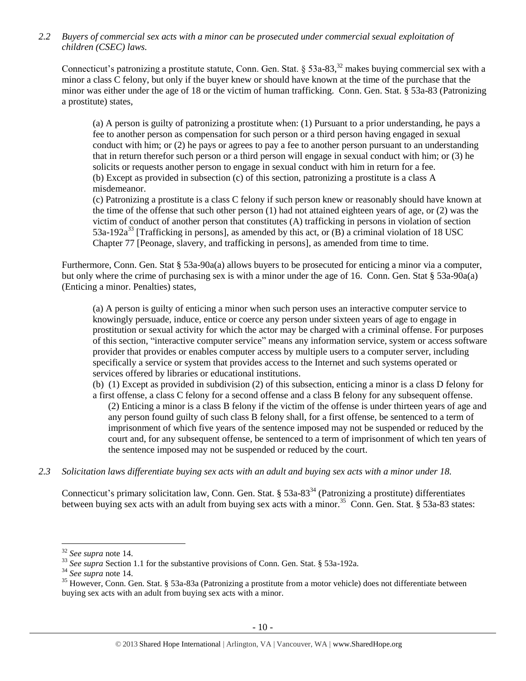*2.2 Buyers of commercial sex acts with a minor can be prosecuted under commercial sexual exploitation of children (CSEC) laws.*

Connecticut's patronizing a prostitute statute, Conn. Gen. Stat. § 53a-83,<sup>32</sup> makes buying commercial sex with a minor a class C felony, but only if the buyer knew or should have known at the time of the purchase that the minor was either under the age of 18 or the victim of human trafficking. Conn. Gen. Stat. § 53a-83 (Patronizing a prostitute) states,

(a) A person is guilty of patronizing a prostitute when: (1) Pursuant to a prior understanding, he pays a fee to another person as compensation for such person or a third person having engaged in sexual conduct with him; or (2) he pays or agrees to pay a fee to another person pursuant to an understanding that in return therefor such person or a third person will engage in sexual conduct with him; or (3) he solicits or requests another person to engage in sexual conduct with him in return for a fee. (b) Except as provided in subsection (c) of this section, patronizing a prostitute is a class A misdemeanor.

(c) Patronizing a prostitute is a class C felony if such person knew or reasonably should have known at the time of the offense that such other person (1) had not attained eighteen years of age, or (2) was the victim of conduct of another person that constitutes (A) trafficking in persons in violation of section 53a-192a<sup>33</sup> [Trafficking in persons], as amended by this act, or  $(B)$  a criminal violation of 18 USC Chapter 77 [Peonage, slavery, and trafficking in persons], as amended from time to time.

Furthermore, Conn. Gen. Stat § 53a-90a(a) allows buyers to be prosecuted for enticing a minor via a computer, but only where the crime of purchasing sex is with a minor under the age of 16. Conn. Gen. Stat § 53a-90a(a) (Enticing a minor. Penalties) states,

(a) A person is guilty of enticing a minor when such person uses an interactive computer service to knowingly persuade, induce, entice or coerce any person under sixteen years of age to engage in prostitution or sexual activity for which the actor may be charged with a criminal offense. For purposes of this section, "interactive computer service" means any information service, system or access software provider that provides or enables computer access by multiple users to a computer server, including specifically a service or system that provides access to the Internet and such systems operated or services offered by libraries or educational institutions.

(b) (1) Except as provided in subdivision (2) of this subsection, enticing a minor is a class D felony for a first offense, a class C felony for a second offense and a class B felony for any subsequent offense.

(2) Enticing a minor is a class B felony if the victim of the offense is under thirteen years of age and any person found guilty of such class B felony shall, for a first offense, be sentenced to a term of imprisonment of which five years of the sentence imposed may not be suspended or reduced by the court and, for any subsequent offense, be sentenced to a term of imprisonment of which ten years of the sentence imposed may not be suspended or reduced by the court.

## *2.3 Solicitation laws differentiate buying sex acts with an adult and buying sex acts with a minor under 18.*

Connecticut's primary solicitation law, Conn. Gen. Stat. § 53a-83<sup>34</sup> (Patronizing a prostitute) differentiates between buying sex acts with an adult from buying sex acts with a minor.<sup>35</sup> Conn. Gen. Stat. § 53a-83 states:

<sup>32</sup> *See supra* note [14.](#page-3-0)

<sup>&</sup>lt;sup>33</sup> See supra Section 1.1 for the substantive provisions of Conn. Gen. Stat. § 53a-192a.

<sup>34</sup> *See supra* note [14.](#page-3-0)

<sup>&</sup>lt;sup>35</sup> However, Conn. Gen. Stat. § 53a-83a (Patronizing a prostitute from a motor vehicle) does not differentiate between buying sex acts with an adult from buying sex acts with a minor.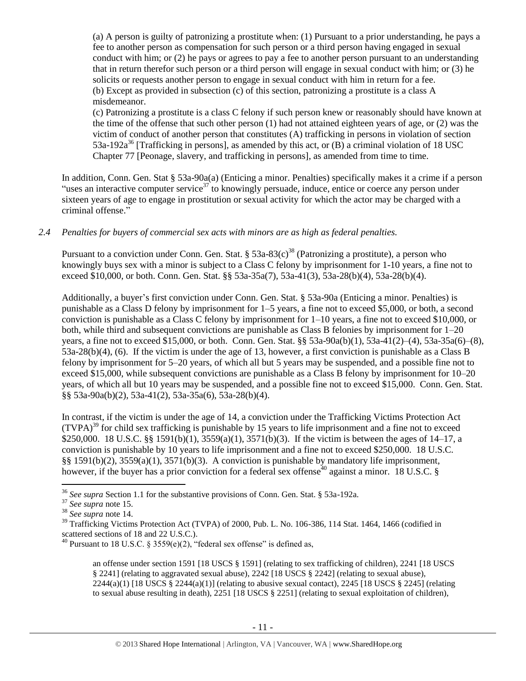(a) A person is guilty of patronizing a prostitute when: (1) Pursuant to a prior understanding, he pays a fee to another person as compensation for such person or a third person having engaged in sexual conduct with him; or (2) he pays or agrees to pay a fee to another person pursuant to an understanding that in return therefor such person or a third person will engage in sexual conduct with him; or (3) he solicits or requests another person to engage in sexual conduct with him in return for a fee. (b) Except as provided in subsection (c) of this section, patronizing a prostitute is a class A misdemeanor.

(c) Patronizing a prostitute is a class C felony if such person knew or reasonably should have known at the time of the offense that such other person (1) had not attained eighteen years of age, or (2) was the victim of conduct of another person that constitutes (A) trafficking in persons in violation of section 53a-192a<sup>36</sup> [Trafficking in persons], as amended by this act, or (B) a criminal violation of 18 USC Chapter 77 [Peonage, slavery, and trafficking in persons], as amended from time to time.

In addition, Conn. Gen. Stat § 53a-90a(a) (Enticing a minor. Penalties) specifically makes it a crime if a person "uses an interactive computer service<sup>37</sup> to knowingly persuade, induce, entice or coerce any person under sixteen years of age to engage in prostitution or sexual activity for which the actor may be charged with a criminal offense."

## *2.4 Penalties for buyers of commercial sex acts with minors are as high as federal penalties.*

Pursuant to a conviction under Conn. Gen. Stat. §  $53a-83(c)^{38}$  (Patronizing a prostitute), a person who knowingly buys sex with a minor is subject to a Class C felony by imprisonment for 1-10 years, a fine not to exceed \$10,000, or both. Conn. Gen. Stat. §§ 53a-35a(7), 53a-41(3), 53a-28(b)(4), 53a-28(b)(4).

Additionally, a buyer's first conviction under Conn. Gen. Stat. § 53a-90a (Enticing a minor. Penalties) is punishable as a Class D felony by imprisonment for 1–5 years, a fine not to exceed \$5,000, or both, a second conviction is punishable as a Class C felony by imprisonment for 1–10 years, a fine not to exceed \$10,000, or both, while third and subsequent convictions are punishable as Class B felonies by imprisonment for 1–20 years, a fine not to exceed \$15,000, or both. Conn. Gen. Stat. §§ 53a-90a(b)(1), 53a-41(2)–(4), 53a-35a(6)–(8), 53a-28(b)(4), (6). If the victim is under the age of 13, however, a first conviction is punishable as a Class B felony by imprisonment for 5–20 years, of which all but 5 years may be suspended, and a possible fine not to exceed \$15,000, while subsequent convictions are punishable as a Class B felony by imprisonment for 10–20 years, of which all but 10 years may be suspended, and a possible fine not to exceed \$15,000. Conn. Gen. Stat. §§ 53a-90a(b)(2), 53a-41(2), 53a-35a(6), 53a-28(b)(4).

In contrast, if the victim is under the age of 14, a conviction under the Trafficking Victims Protection Act  $(TVPA)<sup>39</sup>$  for child sex trafficking is punishable by 15 years to life imprisonment and a fine not to exceed \$250,000. 18 U.S.C. §§ 1591(b)(1), 3559(a)(1), 3571(b)(3). If the victim is between the ages of 14–17, a conviction is punishable by 10 years to life imprisonment and a fine not to exceed \$250,000. 18 U.S.C. §§ 1591(b)(2), 3559(a)(1), 3571(b)(3). A conviction is punishable by mandatory life imprisonment, however, if the buyer has a prior conviction for a federal sex offense<sup>40</sup> against a minor. 18 U.S.C. §

 $\overline{a}$ 

<span id="page-10-0"></span>an offense under section 1591 [18 USCS § 1591] (relating to sex trafficking of children), 2241 [18 USCS § 2241] (relating to aggravated sexual abuse), 2242 [18 USCS § 2242] (relating to sexual abuse),  $2244(a)(1)$  [18 USCS §  $2244(a)(1)$ ] (relating to abusive sexual contact),  $2245$  [18 USCS § 2245] (relating to sexual abuse resulting in death), 2251 [18 USCS § 2251] (relating to sexual exploitation of children),

<sup>36</sup> *See supra* Section 1.1 for the substantive provisions of Conn. Gen. Stat. § 53a-192a.

<sup>37</sup> *See supra* note [15.](#page-3-1) 

<sup>38</sup> *See supra* note [14.](#page-3-0)

<sup>&</sup>lt;sup>39</sup> Trafficking Victims Protection Act (TVPA) of 2000, Pub. L. No. 106-386, 114 Stat. 1464, 1466 (codified in scattered sections of 18 and 22 U.S.C.).

<sup>&</sup>lt;sup>40</sup> Pursuant to 18 U.S.C. § 3559(e)(2), "federal sex offense" is defined as,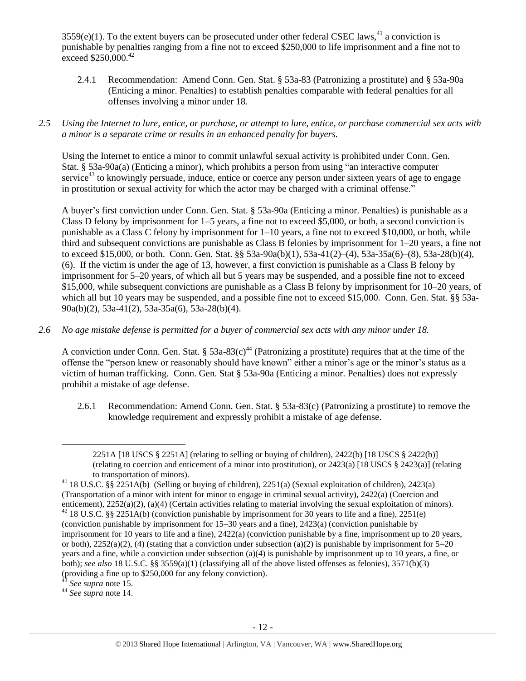$3559(e)(1)$ . To the extent buyers can be prosecuted under other federal CSEC laws,  $41$  a conviction is punishable by penalties ranging from a fine not to exceed \$250,000 to life imprisonment and a fine not to  $\epsilon$ xceed \$250,000.<sup>42</sup>

- 2.4.1 Recommendation: Amend Conn. Gen. Stat. § 53a-83 (Patronizing a prostitute) and § 53a-90a (Enticing a minor. Penalties) to establish penalties comparable with federal penalties for all offenses involving a minor under 18.
- *2.5 Using the Internet to lure, entice, or purchase, or attempt to lure, entice, or purchase commercial sex acts with a minor is a separate crime or results in an enhanced penalty for buyers.*

Using the Internet to entice a minor to commit unlawful sexual activity is prohibited under Conn. Gen. Stat. § 53a-90a(a) (Enticing a minor), which prohibits a person from using "an interactive computer service<sup>43</sup> to knowingly persuade, induce, entice or coerce any person under sixteen years of age to engage in prostitution or sexual activity for which the actor may be charged with a criminal offense."

A buyer's first conviction under Conn. Gen. Stat. § 53a-90a (Enticing a minor. Penalties) is punishable as a Class D felony by imprisonment for 1–5 years, a fine not to exceed \$5,000, or both, a second conviction is punishable as a Class C felony by imprisonment for 1–10 years, a fine not to exceed \$10,000, or both, while third and subsequent convictions are punishable as Class B felonies by imprisonment for 1–20 years, a fine not to exceed \$15,000, or both. Conn. Gen. Stat. §§ 53a-90a(b)(1), 53a-41(2)–(4), 53a-35a(6)–(8), 53a-28(b)(4), (6). If the victim is under the age of 13, however, a first conviction is punishable as a Class B felony by imprisonment for 5–20 years, of which all but 5 years may be suspended, and a possible fine not to exceed \$15,000, while subsequent convictions are punishable as a Class B felony by imprisonment for 10–20 years, of which all but 10 years may be suspended, and a possible fine not to exceed \$15,000. Conn. Gen. Stat. §§ 53a-90a(b)(2), 53a-41(2), 53a-35a(6), 53a-28(b)(4).

*2.6 No age mistake defense is permitted for a buyer of commercial sex acts with any minor under 18.*

A conviction under Conn. Gen. Stat. § 53a-83(c)<sup>44</sup> (Patronizing a prostitute) requires that at the time of the offense the "person knew or reasonably should have known" either a minor's age or the minor's status as a victim of human trafficking. Conn. Gen. Stat § 53a-90a (Enticing a minor. Penalties) does not expressly prohibit a mistake of age defense.

2.6.1 Recommendation: Amend Conn. Gen. Stat. § 53a-83(c) (Patronizing a prostitute) to remove the knowledge requirement and expressly prohibit a mistake of age defense.

<sup>43</sup> *See supra* note [15.](#page-3-1) 

 $\overline{a}$ 

<sup>44</sup> *See supra* note [14.](#page-3-0)

<sup>2251</sup>A [18 USCS § 2251A] (relating to selling or buying of children), 2422(b) [18 USCS § 2422(b)] (relating to coercion and enticement of a minor into prostitution), or 2423(a) [18 USCS § 2423(a)] (relating to transportation of minors).

<sup>41</sup> 18 U.S.C. §§ 2251A(b) (Selling or buying of children), 2251(a) (Sexual exploitation of children), 2423(a) (Transportation of a minor with intent for minor to engage in criminal sexual activity), 2422(a) (Coercion and enticement), 2252(a)(2), (a)(4) (Certain activities relating to material involving the sexual exploitation of minors).  $42$  18 U.S.C. §§ 2251A(b) (conviction punishable by imprisonment for 30 years to life and a fine), 2251(e) (conviction punishable by imprisonment for 15–30 years and a fine), 2423(a) (conviction punishable by imprisonment for 10 years to life and a fine), 2422(a) (conviction punishable by a fine, imprisonment up to 20 years, or both),  $2252(a)(2)$ , (4) (stating that a conviction under subsection (a)(2) is punishable by imprisonment for  $5-20$ years and a fine, while a conviction under subsection (a)(4) is punishable by imprisonment up to 10 years, a fine, or both); *see also* 18 U.S.C. §§ 3559(a)(1) (classifying all of the above listed offenses as felonies), 3571(b)(3) (providing a fine up to  $$250,000$  for any felony conviction).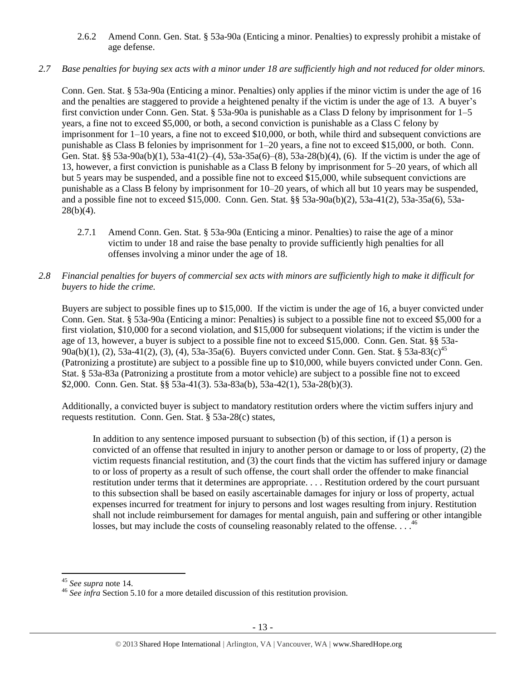## 2.6.2 Amend Conn. Gen. Stat. § 53a-90a (Enticing a minor. Penalties) to expressly prohibit a mistake of age defense.

## *2.7 Base penalties for buying sex acts with a minor under 18 are sufficiently high and not reduced for older minors.*

Conn. Gen. Stat. § 53a-90a (Enticing a minor. Penalties) only applies if the minor victim is under the age of 16 and the penalties are staggered to provide a heightened penalty if the victim is under the age of 13. A buyer's first conviction under Conn. Gen. Stat. § 53a-90a is punishable as a Class D felony by imprisonment for 1–5 years, a fine not to exceed \$5,000, or both, a second conviction is punishable as a Class C felony by imprisonment for 1–10 years, a fine not to exceed \$10,000, or both, while third and subsequent convictions are punishable as Class B felonies by imprisonment for 1–20 years, a fine not to exceed \$15,000, or both. Conn. Gen. Stat. §§ 53a-90a(b)(1), 53a-41(2)–(4), 53a-35a(6)–(8), 53a-28(b)(4), (6). If the victim is under the age of 13, however, a first conviction is punishable as a Class B felony by imprisonment for 5–20 years, of which all but 5 years may be suspended, and a possible fine not to exceed \$15,000, while subsequent convictions are punishable as a Class B felony by imprisonment for 10–20 years, of which all but 10 years may be suspended, and a possible fine not to exceed \$15,000. Conn. Gen. Stat. §§ 53a-90a(b)(2), 53a-41(2), 53a-35a(6), 53a- $28(b)(4)$ .

- 2.7.1 Amend Conn. Gen. Stat. § 53a-90a (Enticing a minor. Penalties) to raise the age of a minor victim to under 18 and raise the base penalty to provide sufficiently high penalties for all offenses involving a minor under the age of 18.
- *2.8 Financial penalties for buyers of commercial sex acts with minors are sufficiently high to make it difficult for buyers to hide the crime.*

Buyers are subject to possible fines up to \$15,000. If the victim is under the age of 16, a buyer convicted under Conn. Gen. Stat. § 53a-90a (Enticing a minor: Penalties) is subject to a possible fine not to exceed \$5,000 for a first violation, \$10,000 for a second violation, and \$15,000 for subsequent violations; if the victim is under the age of 13, however, a buyer is subject to a possible fine not to exceed \$15,000. Conn. Gen. Stat. §§ 53a-90a(b)(1), (2), 53a-41(2), (3), (4), 53a-35a(6). Buyers convicted under Conn. Gen. Stat. § 53a-83(c)<sup>45</sup> (Patronizing a prostitute) are subject to a possible fine up to \$10,000, while buyers convicted under Conn. Gen. Stat. § 53a-83a (Patronizing a prostitute from a motor vehicle) are subject to a possible fine not to exceed \$2,000. Conn. Gen. Stat. §§ 53a-41(3). 53a-83a(b), 53a-42(1), 53a-28(b)(3).

Additionally, a convicted buyer is subject to mandatory restitution orders where the victim suffers injury and requests restitution. Conn. Gen. Stat. § 53a-28(c) states,

<span id="page-12-0"></span>In addition to any sentence imposed pursuant to subsection (b) of this section, if (1) a person is convicted of an offense that resulted in injury to another person or damage to or loss of property, (2) the victim requests financial restitution, and (3) the court finds that the victim has suffered injury or damage to or loss of property as a result of such offense, the court shall order the offender to make financial restitution under terms that it determines are appropriate. . . . Restitution ordered by the court pursuant to this subsection shall be based on easily ascertainable damages for injury or loss of property, actual expenses incurred for treatment for injury to persons and lost wages resulting from injury. Restitution shall not include reimbursement for damages for mental anguish, pain and suffering or other intangible losses, but may include the costs of counseling reasonably related to the offense. . . .<sup>46</sup>

 $\overline{a}$ <sup>45</sup> *See supra* note [14.](#page-3-0)

<sup>46</sup> *See infra* Section 5.10 for a more detailed discussion of this restitution provision.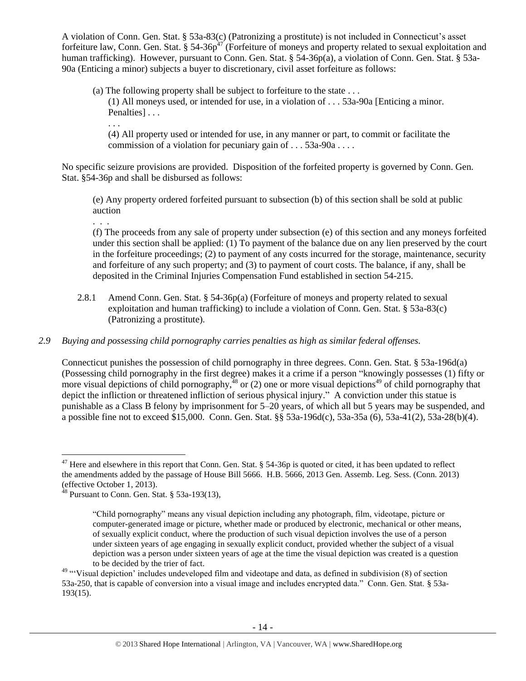A violation of Conn. Gen. Stat. § 53a-83(c) (Patronizing a prostitute) is not included in Connecticut's asset forfeiture law, Conn. Gen. Stat.  $\S 54-36p^{47}$  (Forfeiture of moneys and property related to sexual exploitation and human trafficking). However, pursuant to Conn. Gen. Stat. § 54-36p(a), a violation of Conn. Gen. Stat. § 53a-90a (Enticing a minor) subjects a buyer to discretionary, civil asset forfeiture as follows:

(a) The following property shall be subject to forfeiture to the state . . . (1) All moneys used, or intended for use, in a violation of . . . 53a-90a [Enticing a minor.

<span id="page-13-0"></span>Penalties] . . . . . .

(4) All property used or intended for use, in any manner or part, to commit or facilitate the commission of a violation for pecuniary gain of . . . 53a-90a . . . .

No specific seizure provisions are provided. Disposition of the forfeited property is governed by Conn. Gen. Stat. §54-36p and shall be disbursed as follows:

(e) Any property ordered forfeited pursuant to subsection (b) of this section shall be sold at public auction

. . .

 $\overline{a}$ 

(f) The proceeds from any sale of property under subsection (e) of this section and any moneys forfeited under this section shall be applied: (1) To payment of the balance due on any lien preserved by the court in the forfeiture proceedings; (2) to payment of any costs incurred for the storage, maintenance, security and forfeiture of any such property; and (3) to payment of court costs. The balance, if any, shall be deposited in the Criminal Injuries Compensation Fund established in section 54-215.

2.8.1 Amend Conn. Gen. Stat. § 54-36p(a) (Forfeiture of moneys and property related to sexual exploitation and human trafficking) to include a violation of Conn. Gen. Stat. § 53a-83(c) (Patronizing a prostitute).

# *2.9 Buying and possessing child pornography carries penalties as high as similar federal offenses.*

Connecticut punishes the possession of child pornography in three degrees. Conn. Gen. Stat. § 53a-196d(a) (Possessing child pornography in the first degree) makes it a crime if a person "knowingly possesses (1) fifty or more visual depictions of child pornography,  $48$  or (2) one or more visual depictions<sup>49</sup> of child pornography that depict the infliction or threatened infliction of serious physical injury." A conviction under this statue is punishable as a Class B felony by imprisonment for 5–20 years, of which all but 5 years may be suspended, and a possible fine not to exceed \$15,000. Conn. Gen. Stat. §§ 53a-196d(c), 53a-35a (6), 53a-41(2), 53a-28(b)(4).

<sup>&</sup>lt;sup>47</sup> Here and elsewhere in this report that Conn. Gen. Stat.  $\S$  54-36p is quoted or cited, it has been updated to reflect the amendments added by the passage of House Bill 5666. H.B. 5666, 2013 Gen. Assemb. Leg. Sess. (Conn. 2013) (effective October 1, 2013).

 $48$  Pursuant to Conn. Gen. Stat. § 53a-193(13),

<sup>&</sup>quot;Child pornography" means any visual depiction including any photograph, film, videotape, picture or computer-generated image or picture, whether made or produced by electronic, mechanical or other means, of sexually explicit conduct, where the production of such visual depiction involves the use of a person under sixteen years of age engaging in sexually explicit conduct, provided whether the subject of a visual depiction was a person under sixteen years of age at the time the visual depiction was created is a question to be decided by the trier of fact.

<sup>&</sup>lt;sup>49</sup> "Visual depiction' includes undeveloped film and videotape and data, as defined in subdivision (8) of section 53a-250, that is capable of conversion into a visual image and includes encrypted data." Conn. Gen. Stat. § 53a-193(15).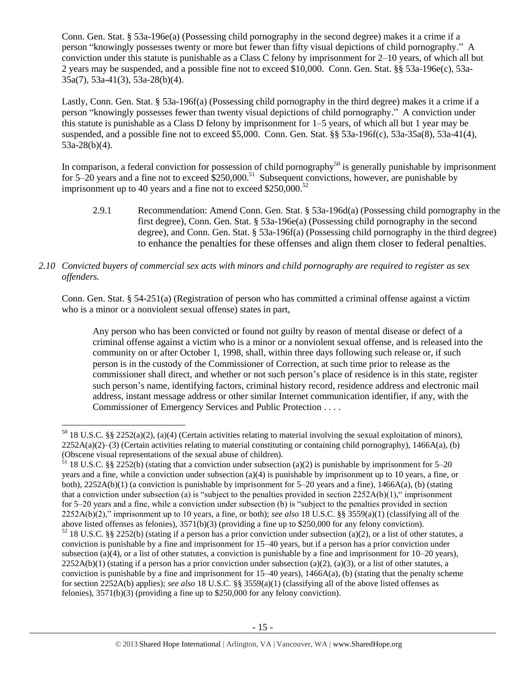Conn. Gen. Stat. § 53a-196e(a) (Possessing child pornography in the second degree) makes it a crime if a person "knowingly possesses twenty or more but fewer than fifty visual depictions of child pornography." A conviction under this statute is punishable as a Class C felony by imprisonment for 2–10 years, of which all but 2 years may be suspended, and a possible fine not to exceed \$10,000. Conn. Gen. Stat. §§ 53a-196e(c), 53a-35a(7), 53a-41(3), 53a-28(b)(4).

Lastly, Conn. Gen. Stat. § 53a-196f(a) (Possessing child pornography in the third degree) makes it a crime if a person "knowingly possesses fewer than twenty visual depictions of child pornography." A conviction under this statute is punishable as a Class D felony by imprisonment for 1–5 years, of which all but 1 year may be suspended, and a possible fine not to exceed \$5,000. Conn. Gen. Stat. §§ 53a-196f(c), 53a-35a(8), 53a-41(4), 53a-28(b)(4).

In comparison, a federal conviction for possession of child pornography<sup>50</sup> is generally punishable by imprisonment for 5–20 years and a fine not to exceed  $$250,000$ .<sup>51</sup> Subsequent convictions, however, are punishable by imprisonment up to 40 years and a fine not to exceed  $$250,000.<sup>52</sup>$ 

2.9.1 Recommendation: Amend Conn. Gen. Stat. § 53a-196d(a) (Possessing child pornography in the first degree), Conn. Gen. Stat. § 53a-196e(a) (Possessing child pornography in the second degree), and Conn. Gen. Stat. § 53a-196f(a) (Possessing child pornography in the third degree) to enhance the penalties for these offenses and align them closer to federal penalties.

## *2.10 Convicted buyers of commercial sex acts with minors and child pornography are required to register as sex offenders.*

Conn. Gen. Stat. § 54-251(a) (Registration of person who has committed a criminal offense against a victim who is a minor or a nonviolent sexual offense) states in part,

Any person who has been convicted or found not guilty by reason of mental disease or defect of a criminal offense against a victim who is a minor or a nonviolent sexual offense, and is released into the community on or after October 1, 1998, shall, within three days following such release or, if such person is in the custody of the Commissioner of Correction, at such time prior to release as the commissioner shall direct, and whether or not such person's place of residence is in this state, register such person's name, identifying factors, criminal history record, residence address and electronic mail address, instant message address or other similar Internet communication identifier, if any, with the Commissioner of Emergency Services and Public Protection . . . .

 $50$  18 U.S.C. §§ 2252(a)(2), (a)(4) (Certain activities relating to material involving the sexual exploitation of minors),  $2252A(a)(2)$ –(3) (Certain activities relating to material constituting or containing child pornography), 1466A(a), (b) (Obscene visual representations of the sexual abuse of children).

 $\frac{51}{18}$  18 U.S.C. §§ 2252(b) (stating that a conviction under subsection (a)(2) is punishable by imprisonment for 5–20 years and a fine, while a conviction under subsection (a)(4) is punishable by imprisonment up to 10 years, a fine, or both),  $2252A(b)(1)$  (a conviction is punishable by imprisonment for  $5-20$  years and a fine),  $1466A(a)$ , (b) (stating that a conviction under subsection (a) is "subject to the penalties provided in section  $2252A(b)(1)$ ," imprisonment for 5–20 years and a fine, while a conviction under subsection (b) is "subject to the penalties provided in section 2252A(b)(2)," imprisonment up to 10 years, a fine, or both); *see also* 18 U.S.C. §§ 3559(a)(1) (classifying all of the above listed offenses as felonies), 3571(b)(3) (providing a fine up to \$250,000 for any felony conviction).  $\frac{52}{18}$  U.S.C. §§ 2252(b) (stating if a person has a prior conviction under subsection (a)(2), or a list of other statutes, a conviction is punishable by a fine and imprisonment for 15–40 years, but if a person has a prior conviction under subsection (a)(4), or a list of other statutes, a conviction is punishable by a fine and imprisonment for  $10-20$  years),  $2252A(b)(1)$  (stating if a person has a prior conviction under subsection (a)(2), (a)(3), or a list of other statutes, a conviction is punishable by a fine and imprisonment for 15–40 years), 1466A(a), (b) (stating that the penalty scheme for section 2252A(b) applies); *see also* 18 U.S.C. §§ 3559(a)(1) (classifying all of the above listed offenses as felonies), 3571(b)(3) (providing a fine up to \$250,000 for any felony conviction).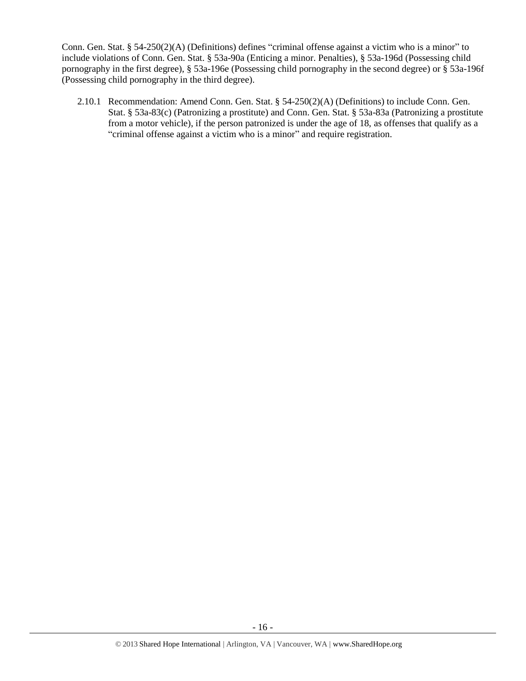Conn. Gen. Stat. § 54-250(2)(A) (Definitions) defines "criminal offense against a victim who is a minor" to include violations of Conn. Gen. Stat. § 53a-90a (Enticing a minor. Penalties), § 53a-196d (Possessing child pornography in the first degree), § 53a-196e (Possessing child pornography in the second degree) or § 53a-196f (Possessing child pornography in the third degree).

2.10.1 Recommendation: Amend Conn. Gen. Stat. § 54-250(2)(A) (Definitions) to include Conn. Gen. Stat. § 53a-83(c) (Patronizing a prostitute) and Conn. Gen. Stat. § 53a-83a (Patronizing a prostitute from a motor vehicle), if the person patronized is under the age of 18, as offenses that qualify as a "criminal offense against a victim who is a minor" and require registration.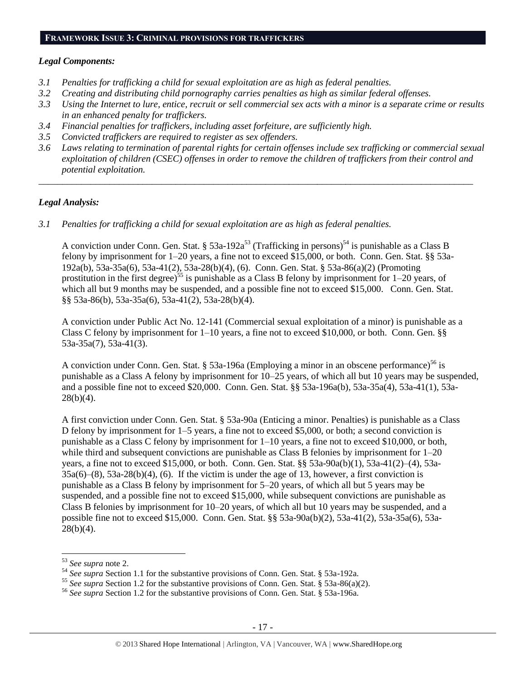## **FRAMEWORK ISSUE 3: CRIMINAL PROVISIONS FOR TRAFFICKERS**

#### *Legal Components:*

- *3.1 Penalties for trafficking a child for sexual exploitation are as high as federal penalties.*
- *3.2 Creating and distributing child pornography carries penalties as high as similar federal offenses.*
- *3.3 Using the Internet to lure, entice, recruit or sell commercial sex acts with a minor is a separate crime or results in an enhanced penalty for traffickers.*
- *3.4 Financial penalties for traffickers, including asset forfeiture, are sufficiently high.*
- *3.5 Convicted traffickers are required to register as sex offenders.*
- *3.6 Laws relating to termination of parental rights for certain offenses include sex trafficking or commercial sexual exploitation of children (CSEC) offenses in order to remove the children of traffickers from their control and potential exploitation.*

*\_\_\_\_\_\_\_\_\_\_\_\_\_\_\_\_\_\_\_\_\_\_\_\_\_\_\_\_\_\_\_\_\_\_\_\_\_\_\_\_\_\_\_\_\_\_\_\_\_\_\_\_\_\_\_\_\_\_\_\_\_\_\_\_\_\_\_\_\_\_\_\_\_\_\_\_\_\_\_\_\_\_\_\_\_\_\_\_\_\_\_\_*

#### *Legal Analysis:*

*3.1 Penalties for trafficking a child for sexual exploitation are as high as federal penalties.* 

A conviction under Conn. Gen. Stat. § 53a-192a<sup>53</sup> (Trafficking in persons)<sup>54</sup> is punishable as a Class B felony by imprisonment for 1–20 years, a fine not to exceed \$15,000, or both. Conn. Gen. Stat. §§ 53a-192a(b), 53a-35a(6), 53a-41(2), 53a-28(b)(4), (6). Conn. Gen. Stat. § 53a-86(a)(2) (Promoting prostitution in the first degree)<sup>55</sup> is punishable as a Class B felony by imprisonment for  $1-20$  years, of which all but 9 months may be suspended, and a possible fine not to exceed \$15,000. Conn. Gen. Stat. §§ 53a-86(b), 53a-35a(6), 53a-41(2), 53a-28(b)(4).

A conviction under Public Act No. 12-141 (Commercial sexual exploitation of a minor) is punishable as a Class C felony by imprisonment for  $1-10$  years, a fine not to exceed \$10,000, or both. Conn. Gen. §§ 53a-35a(7), 53a-41(3).

A conviction under Conn. Gen. Stat. § 53a-196a (Employing a minor in an obscene performance)<sup>56</sup> is punishable as a Class A felony by imprisonment for 10–25 years, of which all but 10 years may be suspended, and a possible fine not to exceed \$20,000. Conn. Gen. Stat. §§ 53a-196a(b), 53a-35a(4), 53a-41(1), 53a- $28(b)(4)$ .

A first conviction under Conn. Gen. Stat. § 53a-90a (Enticing a minor. Penalties) is punishable as a Class D felony by imprisonment for 1–5 years, a fine not to exceed \$5,000, or both; a second conviction is punishable as a Class C felony by imprisonment for 1–10 years, a fine not to exceed \$10,000, or both, while third and subsequent convictions are punishable as Class B felonies by imprisonment for  $1-20$ years, a fine not to exceed \$15,000, or both. Conn. Gen. Stat. §§ 53a-90a(b)(1), 53a-41(2)–(4), 53a-35a(6)–(8), 53a-28(b)(4), (6). If the victim is under the age of 13, however, a first conviction is punishable as a Class B felony by imprisonment for 5–20 years, of which all but 5 years may be suspended, and a possible fine not to exceed \$15,000, while subsequent convictions are punishable as Class B felonies by imprisonment for 10–20 years, of which all but 10 years may be suspended, and a possible fine not to exceed \$15,000. Conn. Gen. Stat. §§ 53a-90a(b)(2), 53a-41(2), 53a-35a(6), 53a- $28(b)(4)$ .

<sup>53</sup> *See supra* note [2.](#page-0-0)

<sup>&</sup>lt;sup>54</sup> See supra Section 1.1 for the substantive provisions of Conn. Gen. Stat. § 53a-192a.

<sup>55</sup> *See supra* Section 1.2 for the substantive provisions of Conn. Gen. Stat. § 53a-86(a)(2).

<sup>56</sup> *See supra* Section 1.2 for the substantive provisions of Conn. Gen. Stat. § 53a-196a.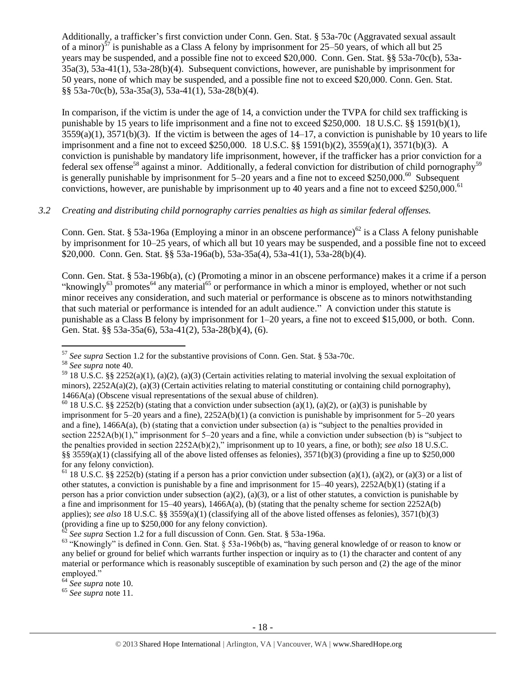Additionally, a trafficker's first conviction under Conn. Gen. Stat. § 53a-70c (Aggravated sexual assault of a minor)<sup>57</sup> is punishable as a Class A felony by imprisonment for 25–50 years, of which all but 25 years may be suspended, and a possible fine not to exceed \$20,000. Conn. Gen. Stat. §§ 53a-70c(b), 53a-35a(3), 53a-41(1), 53a-28(b)(4). Subsequent convictions, however, are punishable by imprisonment for 50 years, none of which may be suspended, and a possible fine not to exceed \$20,000. Conn. Gen. Stat. §§ 53a-70c(b), 53a-35a(3), 53a-41(1), 53a-28(b)(4).

In comparison, if the victim is under the age of 14, a conviction under the TVPA for child sex trafficking is punishable by 15 years to life imprisonment and a fine not to exceed \$250,000. 18 U.S.C. §§ 1591(b)(1),  $3559(a)(1)$ ,  $3571(b)(3)$ . If the victim is between the ages of  $14-17$ , a conviction is punishable by 10 years to life imprisonment and a fine not to exceed \$250,000. 18 U.S.C. §§ 1591(b)(2), 3559(a)(1), 3571(b)(3). A conviction is punishable by mandatory life imprisonment, however, if the trafficker has a prior conviction for a federal sex offense<sup>58</sup> against a minor. Additionally, a federal conviction for distribution of child pornography<sup>59</sup> is generally punishable by imprisonment for  $5-20$  years and a fine not to exceed \$250,000.<sup>60</sup> Subsequent convictions, however, are punishable by imprisonment up to 40 years and a fine not to exceed \$250,000.<sup>61</sup>

## *3.2 Creating and distributing child pornography carries penalties as high as similar federal offenses.*

Conn. Gen. Stat. § 53a-196a (Employing a minor in an obscene performance)<sup>62</sup> is a Class A felony punishable by imprisonment for 10–25 years, of which all but 10 years may be suspended, and a possible fine not to exceed \$20,000. Conn. Gen. Stat. §§ 53a-196a(b), 53a-35a(4), 53a-41(1), 53a-28(b)(4).

<span id="page-17-0"></span>Conn. Gen. Stat. § 53a-196b(a), (c) (Promoting a minor in an obscene performance) makes it a crime if a person "knowingly<sup>63</sup> promotes<sup>64</sup> any material<sup>65</sup> or performance in which a minor is employed, whether or not such minor receives any consideration, and such material or performance is obscene as to minors notwithstanding that such material or performance is intended for an adult audience." A conviction under this statute is punishable as a Class B felony by imprisonment for 1–20 years, a fine not to exceed \$15,000, or both. Conn. Gen. Stat. §§ 53a-35a(6), 53a-41(2), 53a-28(b)(4), (6).

<sup>57</sup> *See supra* Section 1.2 for the substantive provisions of Conn. Gen. Stat. § 53a-70c.

<sup>58</sup> *See supra* note [40.](#page-10-0)

<sup>&</sup>lt;sup>59</sup> 18 U.S.C. §§ 2252(a)(1), (a)(2), (a)(3) (Certain activities relating to material involving the sexual exploitation of minors),  $2252A(a)(2)$ , (a)(3) (Certain activities relating to material constituting or containing child pornography), 1466A(a) (Obscene visual representations of the sexual abuse of children).

<sup>&</sup>lt;sup>60</sup> 18 U.S.C. §§ 2252(b) (stating that a conviction under subsection (a)(1), (a)(2), or (a)(3) is punishable by imprisonment for  $5-20$  years and a fine),  $2252A(b)(1)$  (a conviction is punishable by imprisonment for  $5-20$  years and a fine), 1466A(a), (b) (stating that a conviction under subsection (a) is "subject to the penalties provided in section 2252A(b)(1)," imprisonment for 5–20 years and a fine, while a conviction under subsection (b) is "subject to the penalties provided in section 2252A(b)(2)," imprisonment up to 10 years, a fine, or both); *see also* 18 U.S.C. §§  $3559(a)(1)$  (classifying all of the above listed offenses as felonies),  $3571(b)(3)$  (providing a fine up to \$250,000 for any felony conviction).

<sup>&</sup>lt;sup>61</sup> 18 U.S.C. §§ 2252(b) (stating if a person has a prior conviction under subsection (a)(1), (a)(2), or (a)(3) or a list of other statutes, a conviction is punishable by a fine and imprisonment for 15–40 years), 2252A(b)(1) (stating if a person has a prior conviction under subsection (a)(2), (a)(3), or a list of other statutes, a conviction is punishable by a fine and imprisonment for  $15-40$  years),  $1466A(a)$ , (b) (stating that the penalty scheme for section  $2252A(b)$ applies); *see also* 18 U.S.C. §§ 3559(a)(1) (classifying all of the above listed offenses as felonies), 3571(b)(3) (providing a fine up to \$250,000 for any felony conviction).

<sup>62</sup> *See supra* Section 1.2 for a full discussion of Conn. Gen. Stat. § 53a-196a.

<sup>63</sup> "Knowingly" is defined in Conn. Gen. Stat. § 53a-196b(b) as, "having general knowledge of or reason to know or any belief or ground for belief which warrants further inspection or inquiry as to (1) the character and content of any material or performance which is reasonably susceptible of examination by such person and (2) the age of the minor employed."

<sup>64</sup> *See supra* note [10.](#page-2-0) 

<sup>65</sup> *See supra* note [11.](#page-2-1)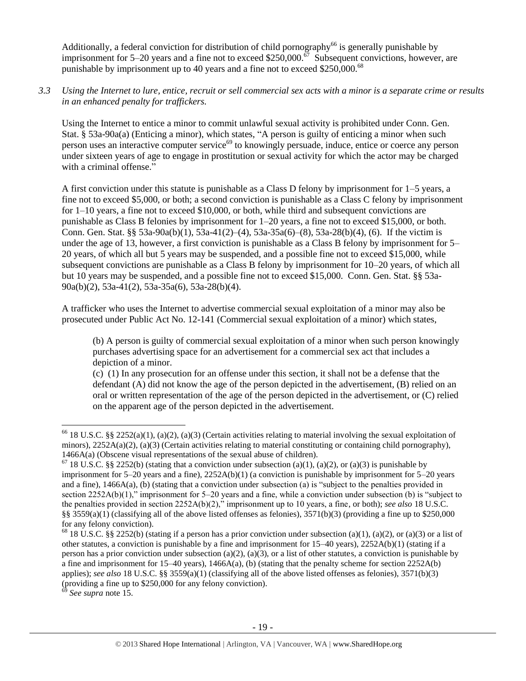Additionally, a federal conviction for distribution of child pornography<sup>66</sup> is generally punishable by imprisonment for 5–20 years and a fine not to exceed \$250,000.<sup> $\sigma$ </sup> Subsequent convictions, however, are punishable by imprisonment up to 40 years and a fine not to exceed \$250,000.<sup>68</sup>

*3.3 Using the Internet to lure, entice, recruit or sell commercial sex acts with a minor is a separate crime or results in an enhanced penalty for traffickers.*

Using the Internet to entice a minor to commit unlawful sexual activity is prohibited under Conn. Gen. Stat. § 53a-90a(a) (Enticing a minor), which states, "A person is guilty of enticing a minor when such person uses an interactive computer service<sup>69</sup> to knowingly persuade, induce, entice or coerce any person under sixteen years of age to engage in prostitution or sexual activity for which the actor may be charged with a criminal offense."

A first conviction under this statute is punishable as a Class D felony by imprisonment for 1–5 years, a fine not to exceed \$5,000, or both; a second conviction is punishable as a Class C felony by imprisonment for 1–10 years, a fine not to exceed \$10,000, or both, while third and subsequent convictions are punishable as Class B felonies by imprisonment for 1–20 years, a fine not to exceed \$15,000, or both. Conn. Gen. Stat. §§ 53a-90a(b)(1), 53a-41(2)–(4), 53a-35a(6)–(8), 53a-28(b)(4), (6). If the victim is under the age of 13, however, a first conviction is punishable as a Class B felony by imprisonment for 5– 20 years, of which all but 5 years may be suspended, and a possible fine not to exceed \$15,000, while subsequent convictions are punishable as a Class B felony by imprisonment for 10–20 years, of which all but 10 years may be suspended, and a possible fine not to exceed \$15,000. Conn. Gen. Stat. §§ 53a-90a(b)(2), 53a-41(2), 53a-35a(6), 53a-28(b)(4).

A trafficker who uses the Internet to advertise commercial sexual exploitation of a minor may also be prosecuted under Public Act No. 12-141 (Commercial sexual exploitation of a minor) which states,

(b) A person is guilty of commercial sexual exploitation of a minor when such person knowingly purchases advertising space for an advertisement for a commercial sex act that includes a depiction of a minor.

(c) (1) In any prosecution for an offense under this section, it shall not be a defense that the defendant (A) did not know the age of the person depicted in the advertisement, (B) relied on an oral or written representation of the age of the person depicted in the advertisement, or (C) relied on the apparent age of the person depicted in the advertisement.

<sup>69</sup> *See supra* note [15.](#page-3-1)

<sup>&</sup>lt;sup>66</sup> 18 U.S.C. §§ 2252(a)(1), (a)(2), (a)(3) (Certain activities relating to material involving the sexual exploitation of minors), 2252A(a)(2), (a)(3) (Certain activities relating to material constituting or containing child pornography), 1466A(a) (Obscene visual representations of the sexual abuse of children).

 $67$  18 U.S.C. §§ 2252(b) (stating that a conviction under subsection (a)(1), (a)(2), or (a)(3) is punishable by imprisonment for  $5-20$  years and a fine),  $2252A(b)(1)$  (a conviction is punishable by imprisonment for  $5-20$  years and a fine), 1466A(a), (b) (stating that a conviction under subsection (a) is "subject to the penalties provided in section 2252A(b)(1)," imprisonment for 5–20 years and a fine, while a conviction under subsection (b) is "subject to the penalties provided in section 2252A(b)(2)," imprisonment up to 10 years, a fine, or both); *see also* 18 U.S.C. §§ 3559(a)(1) (classifying all of the above listed offenses as felonies),  $3571(b)(3)$  (providing a fine up to \$250,000 for any felony conviction).

<sup>&</sup>lt;sup>68</sup> 18 U.S.C. §§ 2252(b) (stating if a person has a prior conviction under subsection (a)(1), (a)(2), or (a)(3) or a list of other statutes, a conviction is punishable by a fine and imprisonment for 15–40 years), 2252A(b)(1) (stating if a person has a prior conviction under subsection (a)(2), (a)(3), or a list of other statutes, a conviction is punishable by a fine and imprisonment for 15–40 years), 1466A(a), (b) (stating that the penalty scheme for section 2252A(b) applies); *see also* 18 U.S.C. §§ 3559(a)(1) (classifying all of the above listed offenses as felonies), 3571(b)(3) (providing a fine up to \$250,000 for any felony conviction).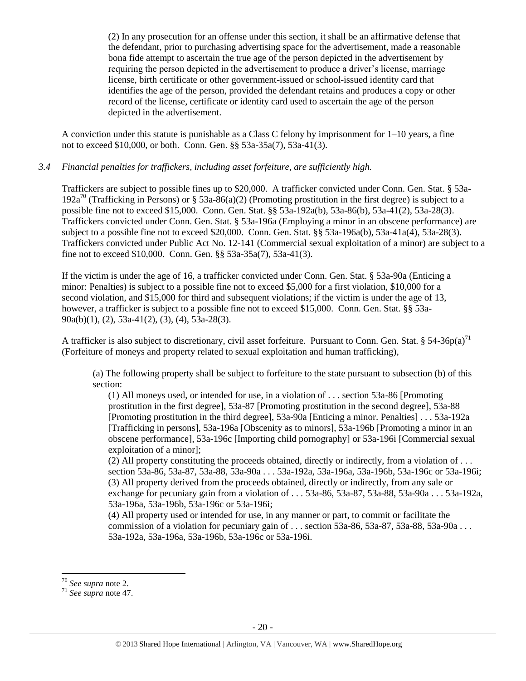(2) In any prosecution for an offense under this section, it shall be an affirmative defense that the defendant, prior to purchasing advertising space for the advertisement, made a reasonable bona fide attempt to ascertain the true age of the person depicted in the advertisement by requiring the person depicted in the advertisement to produce a driver's license, marriage license, birth certificate or other government-issued or school-issued identity card that identifies the age of the person, provided the defendant retains and produces a copy or other record of the license, certificate or identity card used to ascertain the age of the person depicted in the advertisement.

A conviction under this statute is punishable as a Class C felony by imprisonment for 1–10 years, a fine not to exceed \$10,000, or both. Conn. Gen. §§ 53a-35a(7), 53a-41(3).

#### *3.4 Financial penalties for traffickers, including asset forfeiture, are sufficiently high.*

Traffickers are subject to possible fines up to \$20,000. A trafficker convicted under Conn. Gen. Stat. § 53a-192a<sup>70</sup> (Trafficking in Persons) or § 53a-86(a)(2) (Promoting prostitution in the first degree) is subject to a possible fine not to exceed \$15,000. Conn. Gen. Stat. §§ 53a-192a(b), 53a-86(b), 53a-41(2), 53a-28(3). Traffickers convicted under Conn. Gen. Stat. § 53a-196a (Employing a minor in an obscene performance) are subject to a possible fine not to exceed \$20,000. Conn. Gen. Stat. §§ 53a-196a(b), 53a-41a(4), 53a-28(3). Traffickers convicted under Public Act No. 12-141 (Commercial sexual exploitation of a minor) are subject to a fine not to exceed \$10,000. Conn. Gen. §§ 53a-35a(7), 53a-41(3).

If the victim is under the age of 16, a trafficker convicted under Conn. Gen. Stat. § 53a-90a (Enticing a minor: Penalties) is subject to a possible fine not to exceed \$5,000 for a first violation, \$10,000 for a second violation, and \$15,000 for third and subsequent violations; if the victim is under the age of 13, however, a trafficker is subject to a possible fine not to exceed \$15,000. Conn. Gen. Stat.  $8\$  53a-90a(b)(1), (2), 53a-41(2), (3), (4), 53a-28(3).

A trafficker is also subject to discretionary, civil asset forfeiture. Pursuant to Conn. Gen. Stat. § 54-36p(a)<sup>71</sup> (Forfeiture of moneys and property related to sexual exploitation and human trafficking),

(a) The following property shall be subject to forfeiture to the state pursuant to subsection (b) of this section:

(1) All moneys used, or intended for use, in a violation of . . . section 53a-86 [Promoting prostitution in the first degree], 53a-87 [Promoting prostitution in the second degree], 53a-88 [Promoting prostitution in the third degree], 53a-90a [Enticing a minor. Penalties] . . . 53a-192a [Trafficking in persons], 53a-196a [Obscenity as to minors], 53a-196b [Promoting a minor in an obscene performance], 53a-196c [Importing child pornography] or 53a-196i [Commercial sexual exploitation of a minor];

(2) All property constituting the proceeds obtained, directly or indirectly, from a violation of . . . section 53a-86, 53a-87, 53a-88, 53a-90a . . . 53a-192a, 53a-196a, 53a-196b, 53a-196c or 53a-196i; (3) All property derived from the proceeds obtained, directly or indirectly, from any sale or exchange for pecuniary gain from a violation of . . . 53a-86, 53a-87, 53a-88, 53a-90a . . . 53a-192a, 53a-196a, 53a-196b, 53a-196c or 53a-196i;

(4) All property used or intended for use, in any manner or part, to commit or facilitate the commission of a violation for pecuniary gain of ... section  $53a-86$ ,  $53a-87$ ,  $53a-88$ ,  $53a-90a$ ... 53a-192a, 53a-196a, 53a-196b, 53a-196c or 53a-196i.

 $\overline{a}$ <sup>70</sup> *See supra* note [2.](#page-0-0)

<sup>71</sup> *See supra* note [47.](#page-13-0)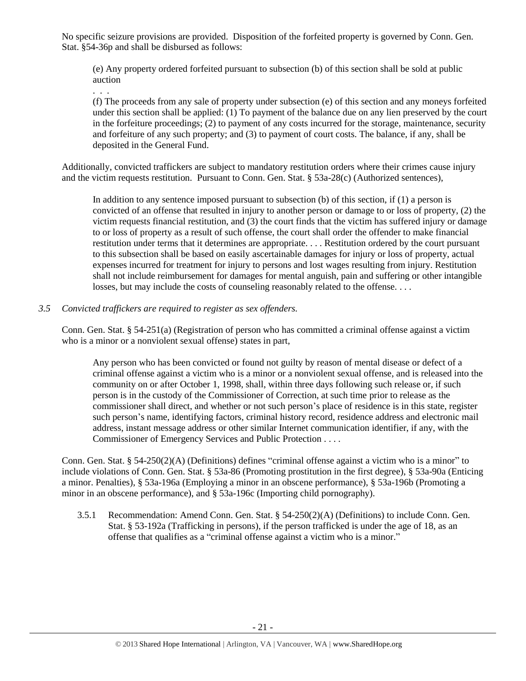No specific seizure provisions are provided. Disposition of the forfeited property is governed by Conn. Gen. Stat. §54-36p and shall be disbursed as follows:

(e) Any property ordered forfeited pursuant to subsection (b) of this section shall be sold at public auction

(f) The proceeds from any sale of property under subsection (e) of this section and any moneys forfeited under this section shall be applied: (1) To payment of the balance due on any lien preserved by the court in the forfeiture proceedings; (2) to payment of any costs incurred for the storage, maintenance, security and forfeiture of any such property; and (3) to payment of court costs. The balance, if any, shall be deposited in the General Fund.

Additionally, convicted traffickers are subject to mandatory restitution orders where their crimes cause injury and the victim requests restitution. Pursuant to Conn. Gen. Stat. § 53a-28(c) (Authorized sentences),

In addition to any sentence imposed pursuant to subsection (b) of this section, if (1) a person is convicted of an offense that resulted in injury to another person or damage to or loss of property, (2) the victim requests financial restitution, and (3) the court finds that the victim has suffered injury or damage to or loss of property as a result of such offense, the court shall order the offender to make financial restitution under terms that it determines are appropriate. . . . Restitution ordered by the court pursuant to this subsection shall be based on easily ascertainable damages for injury or loss of property, actual expenses incurred for treatment for injury to persons and lost wages resulting from injury. Restitution shall not include reimbursement for damages for mental anguish, pain and suffering or other intangible losses, but may include the costs of counseling reasonably related to the offense. . . .

*3.5 Convicted traffickers are required to register as sex offenders.*

. . .

Conn. Gen. Stat. § 54-251(a) (Registration of person who has committed a criminal offense against a victim who is a minor or a nonviolent sexual offense) states in part,

Any person who has been convicted or found not guilty by reason of mental disease or defect of a criminal offense against a victim who is a minor or a nonviolent sexual offense, and is released into the community on or after October 1, 1998, shall, within three days following such release or, if such person is in the custody of the Commissioner of Correction, at such time prior to release as the commissioner shall direct, and whether or not such person's place of residence is in this state, register such person's name, identifying factors, criminal history record, residence address and electronic mail address, instant message address or other similar Internet communication identifier, if any, with the Commissioner of Emergency Services and Public Protection . . . .

Conn. Gen. Stat. § 54-250(2)(A) (Definitions) defines "criminal offense against a victim who is a minor" to include violations of Conn. Gen. Stat. § 53a-86 (Promoting prostitution in the first degree), § 53a-90a (Enticing a minor. Penalties), § 53a-196a (Employing a minor in an obscene performance), § 53a-196b (Promoting a minor in an obscene performance), and § 53a-196c (Importing child pornography).

3.5.1 Recommendation: Amend Conn. Gen. Stat. § 54-250(2)(A) (Definitions) to include Conn. Gen. Stat. § 53-192a (Trafficking in persons), if the person trafficked is under the age of 18, as an offense that qualifies as a "criminal offense against a victim who is a minor."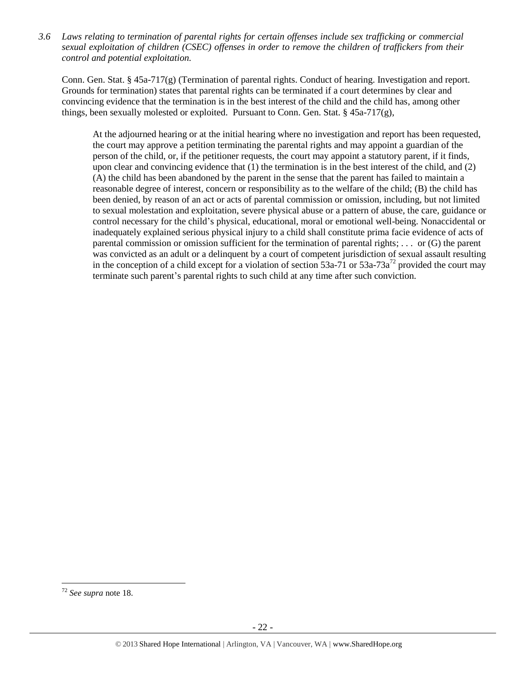*3.6 Laws relating to termination of parental rights for certain offenses include sex trafficking or commercial sexual exploitation of children (CSEC) offenses in order to remove the children of traffickers from their control and potential exploitation.* 

Conn. Gen. Stat. § 45a-717(g) (Termination of parental rights. Conduct of hearing. Investigation and report. Grounds for termination) states that parental rights can be terminated if a court determines by clear and convincing evidence that the termination is in the best interest of the child and the child has, among other things, been sexually molested or exploited. Pursuant to Conn. Gen. Stat.  $\S$  45a-717(g),

At the adjourned hearing or at the initial hearing where no investigation and report has been requested, the court may approve a petition terminating the parental rights and may appoint a guardian of the person of the child, or, if the petitioner requests, the court may appoint a statutory parent, if it finds, upon clear and convincing evidence that (1) the termination is in the best interest of the child, and (2) (A) the child has been abandoned by the parent in the sense that the parent has failed to maintain a reasonable degree of interest, concern or responsibility as to the welfare of the child; (B) the child has been denied, by reason of an act or acts of parental commission or omission, including, but not limited to sexual molestation and exploitation, severe physical abuse or a pattern of abuse, the care, guidance or control necessary for the child's physical, educational, moral or emotional well-being. Nonaccidental or inadequately explained serious physical injury to a child shall constitute prima facie evidence of acts of parental commission or omission sufficient for the termination of parental rights; . . . or (G) the parent was convicted as an adult or a delinquent by a court of competent jurisdiction of sexual assault resulting in the conception of a child except for a violation of section  $53a-71$  or  $53a-73a^{72}$  provided the court may terminate such parent's parental rights to such child at any time after such conviction.

<sup>72</sup> *See supra* note [18.](#page-4-0)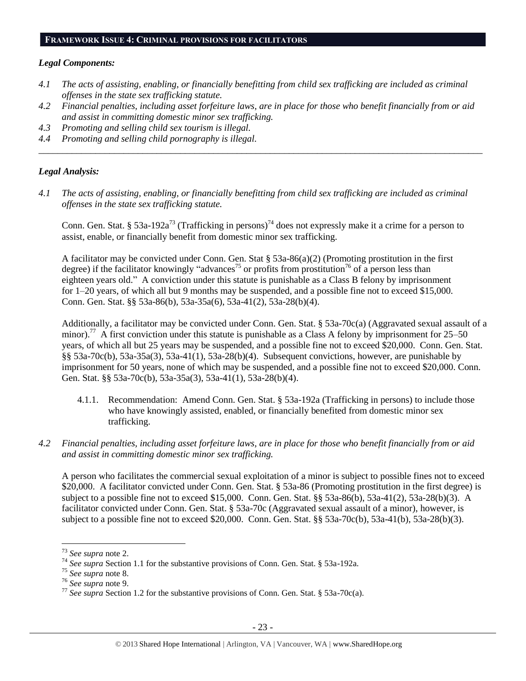#### **FRAMEWORK ISSUE 4: CRIMINAL PROVISIONS FOR FACILITATORS**

#### *Legal Components:*

- *4.1 The acts of assisting, enabling, or financially benefitting from child sex trafficking are included as criminal offenses in the state sex trafficking statute.*
- *4.2 Financial penalties, including asset forfeiture laws, are in place for those who benefit financially from or aid and assist in committing domestic minor sex trafficking.*

*\_\_\_\_\_\_\_\_\_\_\_\_\_\_\_\_\_\_\_\_\_\_\_\_\_\_\_\_\_\_\_\_\_\_\_\_\_\_\_\_\_\_\_\_\_\_\_\_\_\_\_\_\_\_\_\_\_\_\_\_\_\_\_\_\_\_\_\_\_\_\_\_\_\_\_\_\_\_\_\_\_\_\_\_\_\_\_\_\_\_\_\_\_\_*

- *4.3 Promoting and selling child sex tourism is illegal.*
- *4.4 Promoting and selling child pornography is illegal.*

#### *Legal Analysis:*

*4.1 The acts of assisting, enabling, or financially benefitting from child sex trafficking are included as criminal offenses in the state sex trafficking statute.*

Conn. Gen. Stat. § 53a-192a<sup>73</sup> (Trafficking in persons)<sup>74</sup> does not expressly make it a crime for a person to assist, enable, or financially benefit from domestic minor sex trafficking.

A facilitator may be convicted under Conn. Gen. Stat § 53a-86(a)(2) (Promoting prostitution in the first degree) if the facilitator knowingly "advances<sup>75</sup> or profits from prostitution<sup>76</sup> of a person less than eighteen years old." A conviction under this statute is punishable as a Class B felony by imprisonment for 1–20 years, of which all but 9 months may be suspended, and a possible fine not to exceed \$15,000. Conn. Gen. Stat. §§ 53a-86(b), 53a-35a(6), 53a-41(2), 53a-28(b)(4).

Additionally, a facilitator may be convicted under Conn. Gen. Stat. § 53a-70c(a) (Aggravated sexual assault of a minor).<sup>77</sup> A first conviction under this statute is punishable as a Class A felony by imprisonment for 25–50 years, of which all but 25 years may be suspended, and a possible fine not to exceed \$20,000. Conn. Gen. Stat. §§ 53a-70c(b), 53a-35a(3), 53a-41(1), 53a-28(b)(4). Subsequent convictions, however, are punishable by imprisonment for 50 years, none of which may be suspended, and a possible fine not to exceed \$20,000. Conn. Gen. Stat. §§ 53a-70c(b), 53a-35a(3), 53a-41(1), 53a-28(b)(4).

- 4.1.1. Recommendation: Amend Conn. Gen. Stat. § 53a-192a (Trafficking in persons) to include those who have knowingly assisted, enabled, or financially benefited from domestic minor sex trafficking.
- *4.2 Financial penalties, including asset forfeiture laws, are in place for those who benefit financially from or aid and assist in committing domestic minor sex trafficking.*

A person who facilitates the commercial sexual exploitation of a minor is subject to possible fines not to exceed \$20,000. A facilitator convicted under Conn. Gen. Stat. § 53a-86 (Promoting prostitution in the first degree) is subject to a possible fine not to exceed \$15,000. Conn. Gen. Stat. §§ 53a-86(b), 53a-41(2), 53a-28(b)(3). A facilitator convicted under Conn. Gen. Stat. § 53a-70c (Aggravated sexual assault of a minor), however, is subject to a possible fine not to exceed \$20,000. Conn. Gen. Stat. §§ 53a-70c(b), 53a-41(b), 53a-28(b)(3).

<sup>73</sup> *See supra* note [2.](#page-0-0)

<sup>74</sup> *See supra* Section 1.1 for the substantive provisions of Conn. Gen. Stat. § 53a-192a.

<sup>75</sup> *See supra* note [8.](#page-2-2)

<sup>76</sup> *See supra* note [9.](#page-2-3)

<sup>77</sup> *See supra* Section 1.2 for the substantive provisions of Conn. Gen. Stat. § 53a-70c(a).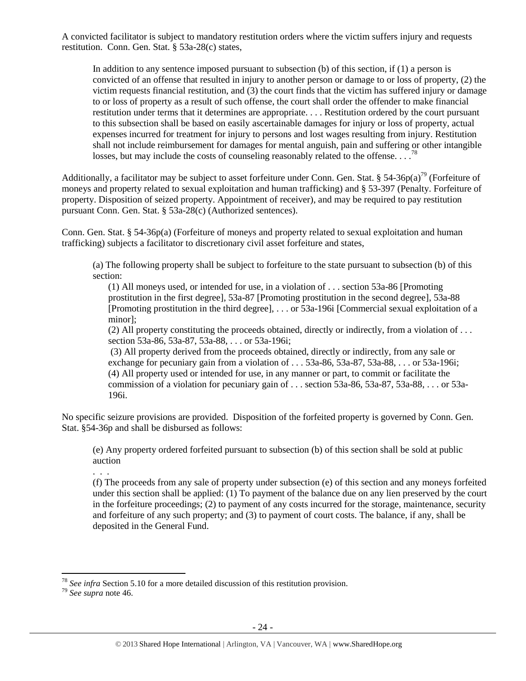A convicted facilitator is subject to mandatory restitution orders where the victim suffers injury and requests restitution. Conn. Gen. Stat. § 53a-28(c) states,

In addition to any sentence imposed pursuant to subsection (b) of this section, if (1) a person is convicted of an offense that resulted in injury to another person or damage to or loss of property, (2) the victim requests financial restitution, and (3) the court finds that the victim has suffered injury or damage to or loss of property as a result of such offense, the court shall order the offender to make financial restitution under terms that it determines are appropriate. . . . Restitution ordered by the court pursuant to this subsection shall be based on easily ascertainable damages for injury or loss of property, actual expenses incurred for treatment for injury to persons and lost wages resulting from injury. Restitution shall not include reimbursement for damages for mental anguish, pain and suffering or other intangible losses, but may include the costs of counseling reasonably related to the offense.  $\ldots$ <sup>78</sup>

Additionally, a facilitator may be subject to asset forfeiture under Conn. Gen. Stat. § 54-36p(a)<sup>79</sup> (Forfeiture of moneys and property related to sexual exploitation and human trafficking) and § 53-397 (Penalty. Forfeiture of property. Disposition of seized property. Appointment of receiver), and may be required to pay restitution pursuant Conn. Gen. Stat. § 53a-28(c) (Authorized sentences).

Conn. Gen. Stat. § 54-36p(a) (Forfeiture of moneys and property related to sexual exploitation and human trafficking) subjects a facilitator to discretionary civil asset forfeiture and states,

(a) The following property shall be subject to forfeiture to the state pursuant to subsection (b) of this section:

(1) All moneys used, or intended for use, in a violation of . . . section 53a-86 [Promoting prostitution in the first degree], 53a-87 [Promoting prostitution in the second degree], 53a-88 [Promoting prostitution in the third degree], . . . or 53a-196i [Commercial sexual exploitation of a minor];

(2) All property constituting the proceeds obtained, directly or indirectly, from a violation of . . . section 53a-86, 53a-87, 53a-88, . . . or 53a-196i;

(3) All property derived from the proceeds obtained, directly or indirectly, from any sale or exchange for pecuniary gain from a violation of  $\dots$  53a-86, 53a-87, 53a-88,  $\dots$  or 53a-196i; (4) All property used or intended for use, in any manner or part, to commit or facilitate the commission of a violation for pecuniary gain of . . . section 53a-86, 53a-87, 53a-88, . . . or 53a-196i.

No specific seizure provisions are provided. Disposition of the forfeited property is governed by Conn. Gen. Stat. §54-36p and shall be disbursed as follows:

(e) Any property ordered forfeited pursuant to subsection (b) of this section shall be sold at public auction

. . .

(f) The proceeds from any sale of property under subsection (e) of this section and any moneys forfeited under this section shall be applied: (1) To payment of the balance due on any lien preserved by the court in the forfeiture proceedings; (2) to payment of any costs incurred for the storage, maintenance, security and forfeiture of any such property; and (3) to payment of court costs. The balance, if any, shall be deposited in the General Fund.

<sup>78</sup> *See infra* Section 5.10 for a more detailed discussion of this restitution provision.

<sup>79</sup> *See supra* note [46.](#page-12-0)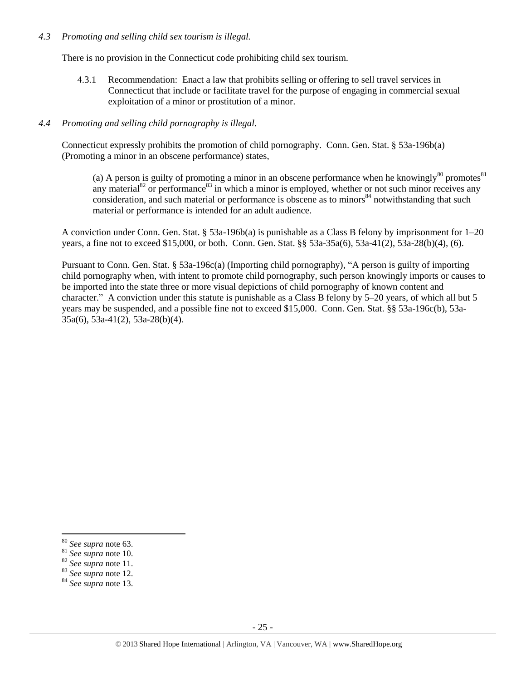## *4.3 Promoting and selling child sex tourism is illegal.*

There is no provision in the Connecticut code prohibiting child sex tourism.

4.3.1 Recommendation: Enact a law that prohibits selling or offering to sell travel services in Connecticut that include or facilitate travel for the purpose of engaging in commercial sexual exploitation of a minor or prostitution of a minor.

## *4.4 Promoting and selling child pornography is illegal.*

Connecticut expressly prohibits the promotion of child pornography. Conn. Gen. Stat. § 53a-196b(a) (Promoting a minor in an obscene performance) states,

(a) A person is guilty of promoting a minor in an obscene performance when he knowingly<sup>80</sup> promotes<sup>81</sup> any material<sup>82</sup> or performance<sup>83</sup> in which a minor is employed, whether or not such minor receives any consideration, and such material or performance is obscene as to minors<sup>84</sup> notwithstanding that such material or performance is intended for an adult audience.

A conviction under Conn. Gen. Stat. § 53a-196b(a) is punishable as a Class B felony by imprisonment for 1–20 years, a fine not to exceed \$15,000, or both. Conn. Gen. Stat. §§ 53a-35a(6), 53a-41(2), 53a-28(b)(4), (6).

Pursuant to Conn. Gen. Stat. § 53a-196c(a) (Importing child pornography), "A person is guilty of importing child pornography when, with intent to promote child pornography, such person knowingly imports or causes to be imported into the state three or more visual depictions of child pornography of known content and character." A conviction under this statute is punishable as a Class B felony by 5–20 years, of which all but 5 years may be suspended, and a possible fine not to exceed \$15,000. Conn. Gen. Stat. §§ 53a-196c(b), 53a-35a(6), 53a-41(2), 53a-28(b)(4).

<sup>80</sup> *See supra* note [63.](#page-17-0) 

<sup>81</sup> *See supra* note [10.](#page-2-0) 

<sup>82</sup> *See supra* note [11.](#page-2-1)

<sup>83</sup> *See supra* note [12.](#page-2-4)

<sup>84</sup> *See supra* note [13.](#page-2-5)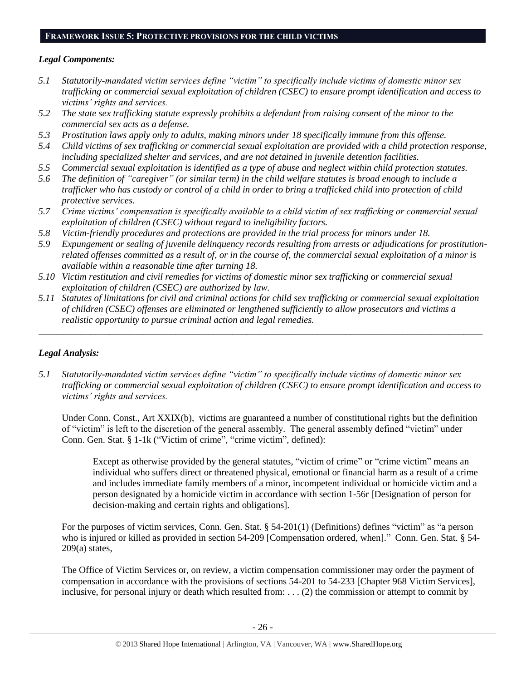## **FRAMEWORK ISSUE 5: PROTECTIVE PROVISIONS FOR THE CHILD VICTIMS**

## *Legal Components:*

- *5.1 Statutorily-mandated victim services define "victim" to specifically include victims of domestic minor sex trafficking or commercial sexual exploitation of children (CSEC) to ensure prompt identification and access to victims' rights and services.*
- *5.2 The state sex trafficking statute expressly prohibits a defendant from raising consent of the minor to the commercial sex acts as a defense.*
- *5.3 Prostitution laws apply only to adults, making minors under 18 specifically immune from this offense.*
- *5.4 Child victims of sex trafficking or commercial sexual exploitation are provided with a child protection response, including specialized shelter and services, and are not detained in juvenile detention facilities.*
- *5.5 Commercial sexual exploitation is identified as a type of abuse and neglect within child protection statutes.*
- *5.6 The definition of "caregiver" (or similar term) in the child welfare statutes is broad enough to include a trafficker who has custody or control of a child in order to bring a trafficked child into protection of child protective services.*
- *5.7 Crime victims' compensation is specifically available to a child victim of sex trafficking or commercial sexual exploitation of children (CSEC) without regard to ineligibility factors.*
- *5.8 Victim-friendly procedures and protections are provided in the trial process for minors under 18.*
- *5.9 Expungement or sealing of juvenile delinquency records resulting from arrests or adjudications for prostitutionrelated offenses committed as a result of, or in the course of, the commercial sexual exploitation of a minor is available within a reasonable time after turning 18.*
- *5.10 Victim restitution and civil remedies for victims of domestic minor sex trafficking or commercial sexual exploitation of children (CSEC) are authorized by law.*
- *5.11 Statutes of limitations for civil and criminal actions for child sex trafficking or commercial sexual exploitation of children (CSEC) offenses are eliminated or lengthened sufficiently to allow prosecutors and victims a realistic opportunity to pursue criminal action and legal remedies.*

*\_\_\_\_\_\_\_\_\_\_\_\_\_\_\_\_\_\_\_\_\_\_\_\_\_\_\_\_\_\_\_\_\_\_\_\_\_\_\_\_\_\_\_\_\_\_\_\_\_\_\_\_\_\_\_\_\_\_\_\_\_\_\_\_\_\_\_\_\_\_\_\_\_\_\_\_\_\_\_\_\_\_\_\_\_\_\_\_\_\_\_\_\_\_*

## *Legal Analysis:*

*5.1 Statutorily-mandated victim services define "victim" to specifically include victims of domestic minor sex trafficking or commercial sexual exploitation of children (CSEC) to ensure prompt identification and access to victims' rights and services.* 

Under Conn. Const., Art XXIX(b), victims are guaranteed a number of constitutional rights but the definition of "victim" is left to the discretion of the general assembly. The general assembly defined "victim" under Conn. Gen. Stat. § 1-1k ("Victim of crime", "crime victim", defined):

Except as otherwise provided by the general statutes, "victim of crime" or "crime victim" means an individual who suffers direct or threatened physical, emotional or financial harm as a result of a crime and includes immediate family members of a minor, incompetent individual or homicide victim and a person designated by a homicide victim in accordance with section 1-56r [Designation of person for decision-making and certain rights and obligations].

For the purposes of victim services, Conn. Gen. Stat. § 54-201(1) (Definitions) defines "victim" as "a person who is injured or killed as provided in [section 54-209](https://www.lexis.com/research/buttonTFLink?_m=8b18f590ff53732c9db250a40b78b252&_xfercite=%3ccite%20cc%3d%22USA%22%3e%3c%21%5bCDATA%5bConn.%20Gen.%20Stat.%20%a7%2054-201%5d%5d%3e%3c%2fcite%3e&_butType=4&_butStat=0&_butNum=4&_butInline=1&_butinfo=CTCODE%2054-209&_fmtstr=FULL&docnum=1&_startdoc=1&wchp=dGLbVzk-zSkAz&_md5=2c6cfce5aa2356fa9f15bb65bdb27b13) [Compensation ordered, when]." Conn. Gen. Stat. § 54-209(a) states,

The Office of Victim Services or, on review, a victim compensation commissioner may order the payment of compensation in accordance with the provisions of sections 54-201 to 54-233 [Chapter 968 Victim Services], inclusive, for personal injury or death which resulted from:  $\dots$  (2) the commission or attempt to commit by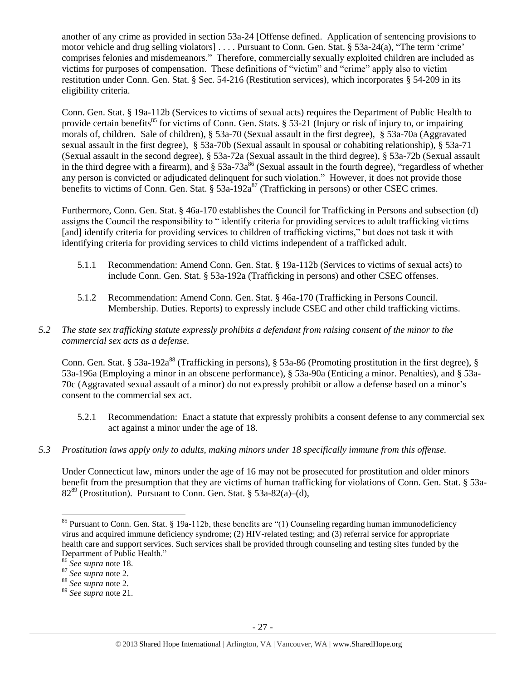another of any crime as provided in section 53a-24 [Offense defined. Application of sentencing provisions to motor vehicle and drug selling violators] . . . . Pursuant to Conn. Gen. Stat. § 53a-24(a), "The term 'crime' comprises felonies and misdemeanors." Therefore, commercially sexually exploited children are included as victims for purposes of compensation. These definitions of "victim" and "crime" apply also to victim restitution under Conn. Gen. Stat. § Sec. 54-216 (Restitution services), which incorporates § 54-209 in its eligibility criteria.

Conn. Gen. Stat. § 19a-112b (Services to victims of sexual acts) requires the Department of Public Health to provide certain benefits<sup>85</sup> for victims of Conn. Gen. Stats. § 53-21 (Injury or risk of injury to, or impairing morals of, children. Sale of children), § 53a-70 (Sexual assault in the first degree), § 53a-70a (Aggravated sexual assault in the first degree), § 53a-70b (Sexual assault in spousal or cohabiting relationship), § 53a-71 (Sexual assault in the second degree), § 53a-72a (Sexual assault in the third degree), § 53a-72b (Sexual assault in the third degree with a firearm), and  $\S$  53a-73a<sup>86</sup> (Sexual assault in the fourth degree), "regardless of whether any person is convicted or adjudicated delinquent for such violation." However, it does not provide those benefits to victims of Conn. Gen. Stat. §  $53a-192a^{87}$  (Trafficking in persons) or other CSEC crimes.

Furthermore, Conn. Gen. Stat. § 46a-170 establishes the Council for Trafficking in Persons and subsection (d) assigns the Council the responsibility to " identify criteria for providing services to adult trafficking victims [and] identify criteria for providing services to children of trafficking victims," but does not task it with identifying criteria for providing services to child victims independent of a trafficked adult.

- 5.1.1 Recommendation: Amend Conn. Gen. Stat. § 19a-112b (Services to victims of sexual acts) to include Conn. Gen. Stat. § 53a-192a (Trafficking in persons) and other CSEC offenses.
- 5.1.2 Recommendation: Amend Conn. Gen. Stat. § 46a-170 (Trafficking in Persons Council. Membership. Duties. Reports) to expressly include CSEC and other child trafficking victims.
- *5.2 The state sex trafficking statute expressly prohibits a defendant from raising consent of the minor to the commercial sex acts as a defense.*

Conn. Gen. Stat. § 53a-192a<sup>88</sup> (Trafficking in persons), § 53a-86 (Promoting prostitution in the first degree), § 53a-196a (Employing a minor in an obscene performance), § 53a-90a (Enticing a minor. Penalties), and § 53a-70c (Aggravated sexual assault of a minor) do not expressly prohibit or allow a defense based on a minor's consent to the commercial sex act.

- 5.2.1 Recommendation: Enact a statute that expressly prohibits a consent defense to any commercial sex act against a minor under the age of 18.
- *5.3 Prostitution laws apply only to adults, making minors under 18 specifically immune from this offense.*

Under Connecticut law, minors under the age of 16 may not be prosecuted for prostitution and older minors benefit from the presumption that they are victims of human trafficking for violations of Conn. Gen. Stat. § 53a- $82<sup>89</sup>$  (Prostitution). Pursuant to Conn. Gen. Stat. § 53a-82(a)–(d),

<sup>&</sup>lt;sup>85</sup> Pursuant to Conn. Gen. Stat. § 19a-112b, these benefits are "(1) Counseling regarding human immunodeficiency virus and acquired immune deficiency syndrome; (2) HIV-related testing; and (3) referral service for appropriate health care and support services. Such services shall be provided through counseling and testing sites funded by the Department of Public Health."

<sup>86</sup> *See supra* note [18.](#page-4-0)

<sup>87</sup> *See supra* note [2.](#page-0-0)

<sup>88</sup> *See supra* note [2.](#page-0-0)

<sup>89</sup> *See supra* note [21.](#page-5-0)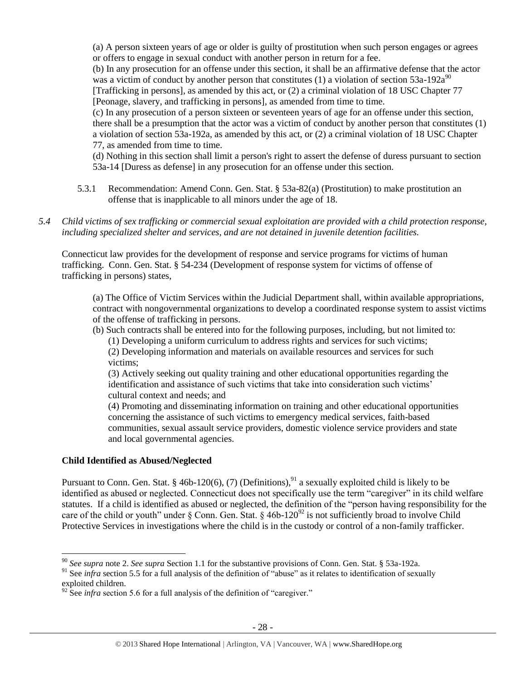(a) A person sixteen years of age or older is guilty of prostitution when such person engages or agrees or offers to engage in sexual conduct with another person in return for a fee. (b) In any prosecution for an offense under this section, it shall be an affirmative defense that the actor

was a victim of conduct by another person that constitutes (1) a violation of section  $53a-192a^{90}$ [Trafficking in persons], as amended by this act, or (2) a criminal violation of 18 USC Chapter 77 [Peonage, slavery, and trafficking in persons], as amended from time to time.

(c) In any prosecution of a person sixteen or seventeen years of age for an offense under this section, there shall be a presumption that the actor was a victim of conduct by another person that constitutes (1) a violation of section 53a-192a, as amended by this act, or (2) a criminal violation of 18 USC Chapter 77, as amended from time to time.

(d) Nothing in this section shall limit a person's right to assert the defense of duress pursuant to section 53a-14 [Duress as defense] in any prosecution for an offense under this section.

- 5.3.1 Recommendation: Amend Conn. Gen. Stat. § 53a-82(a) (Prostitution) to make prostitution an offense that is inapplicable to all minors under the age of 18.
- *5.4 Child victims of sex trafficking or commercial sexual exploitation are provided with a child protection response, including specialized shelter and services, and are not detained in juvenile detention facilities.*

Connecticut law provides for the development of response and service programs for victims of human trafficking. Conn. Gen. Stat. § 54-234 (Development of response system for victims of offense of trafficking in persons) states,

(a) The Office of Victim Services within the Judicial Department shall, within available appropriations, contract with nongovernmental organizations to develop a coordinated response system to assist victims of the offense of trafficking in persons.

(b) Such contracts shall be entered into for the following purposes, including, but not limited to:

(1) Developing a uniform curriculum to address rights and services for such victims; (2) Developing information and materials on available resources and services for such victims;

(3) Actively seeking out quality training and other educational opportunities regarding the identification and assistance of such victims that take into consideration such victims' cultural context and needs; and

(4) Promoting and disseminating information on training and other educational opportunities concerning the assistance of such victims to emergency medical services, faith-based communities, sexual assault service providers, domestic violence service providers and state and local governmental agencies.

## **Child Identified as Abused/Neglected**

 $\overline{a}$ 

Pursuant to Conn. Gen. Stat. § 46b-120(6), (7) (Definitions),  $91$  a sexually exploited child is likely to be identified as abused or neglected. Connecticut does not specifically use the term "caregiver" in its child welfare statutes. If a child is identified as abused or neglected, the definition of the "person having responsibility for the care of the child or youth" under  $\S$  Conn. Gen. Stat.  $\S$  46b-120<sup>92</sup> is not sufficiently broad to involve Child Protective Services in investigations where the child is in the custody or control of a non-family trafficker.

<sup>90</sup> *See supra* note [2.](#page-0-0) *See supra* Section 1.1 for the substantive provisions of Conn. Gen. Stat. § 53a-192a.

<sup>&</sup>lt;sup>91</sup> See *infra* section 5.5 for a full analysis of the definition of "abuse" as it relates to identification of sexually exploited children.

 $92$  See *infra* section 5.6 for a full analysis of the definition of "caregiver."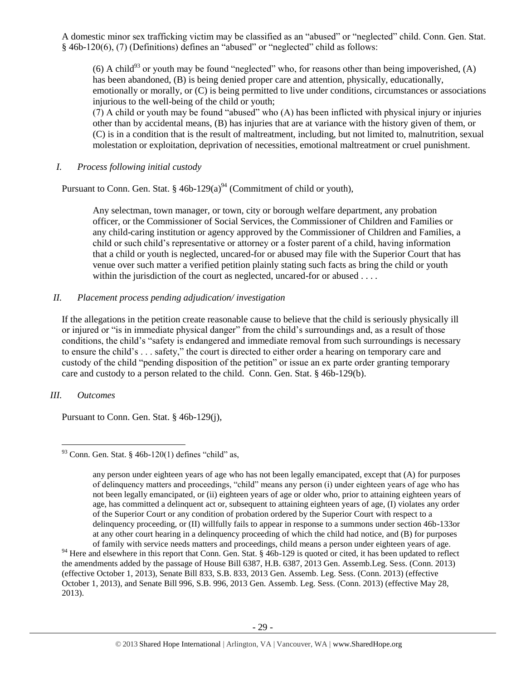A domestic minor sex trafficking victim may be classified as an "abused" or "neglected" child. Conn. Gen. Stat. § 46b-120(6), (7) (Definitions) defines an "abused" or "neglected" child as follows:

(6) A child<sup>93</sup> or youth may be found "neglected" who, for reasons other than being impoverished, (A) has been abandoned, (B) is being denied proper care and attention, physically, educationally, emotionally or morally, or (C) is being permitted to live under conditions, circumstances or associations injurious to the well-being of the child or youth;

(7) A child or youth may be found "abused" who (A) has been inflicted with physical injury or injuries other than by accidental means, (B) has injuries that are at variance with the history given of them, or (C) is in a condition that is the result of maltreatment, including, but not limited to, malnutrition, sexual molestation or exploitation, deprivation of necessities, emotional maltreatment or cruel punishment.

*I. Process following initial custody*

Pursuant to Conn. Gen. Stat. § 46b-129(a)<sup>94</sup> (Commitment of child or youth),

Any selectman, town manager, or town, city or borough welfare department, any probation officer, or the Commissioner of Social Services, the Commissioner of Children and Families or any child-caring institution or agency approved by the Commissioner of Children and Families, a child or such child's representative or attorney or a foster parent of a child, having information that a child or youth is neglected, uncared-for or abused may file with the Superior Court that has venue over such matter a verified petition plainly stating such facts as bring the child or youth within the jurisdiction of the court as neglected, uncared-for or abused . . . .

## *II. Placement process pending adjudication/ investigation*

If the allegations in the petition create reasonable cause to believe that the child is seriously physically ill or injured or "is in immediate physical danger" from the child's surroundings and, as a result of those conditions, the child's "safety is endangered and immediate removal from such surroundings is necessary to ensure the child's . . . safety," the court is directed to either order a hearing on temporary care and custody of the child "pending disposition of the petition" or issue an ex parte order granting temporary care and custody to a person related to the child. Conn. Gen. Stat. § 46b-129(b).

## *III. Outcomes*

 $\overline{a}$ 

Pursuant to Conn. Gen. Stat. § 46b-129(j),

 $93$  Conn. Gen. Stat. § 46b-120(1) defines "child" as,

any person under eighteen years of age who has not been legally emancipated, except that (A) for purposes of delinquency matters and proceedings, "child" means any person (i) under eighteen years of age who has not been legally emancipated, or (ii) eighteen years of age or older who, prior to attaining eighteen years of age, has committed a delinquent act or, subsequent to attaining eighteen years of age, (I) violates any order of the Superior Court or any condition of probation ordered by the Superior Court with respect to a delinquency proceeding, or (II) willfully fails to appear in response to a summons under section 46b-133or at any other court hearing in a delinquency proceeding of which the child had notice, and (B) for purposes of family with service needs matters and proceedings, child means a person under eighteen years of age.

<sup>&</sup>lt;sup>94</sup> Here and elsewhere in this report that Conn. Gen. Stat. § 46b-129 is quoted or cited, it has been updated to reflect the amendments added by the passage of House Bill 6387, H.B. 6387, 2013 Gen. Assemb.Leg. Sess. (Conn. 2013) (effective October 1, 2013), Senate Bill 833, S.B. 833, 2013 Gen. Assemb. Leg. Sess. (Conn. 2013) (effective October 1, 2013), and Senate Bill 996, S.B. 996, 2013 Gen. Assemb. Leg. Sess. (Conn. 2013) (effective May 28, 2013).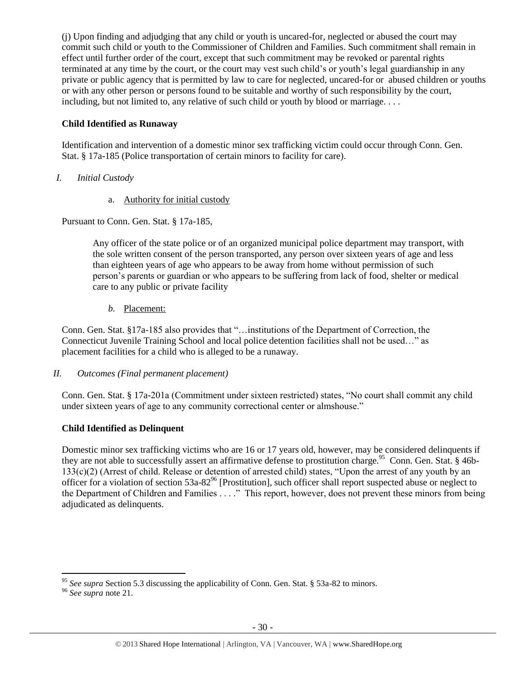(j) Upon finding and adjudging that any child or youth is uncared-for, neglected or abused the court may commit such child or youth to the Commissioner of Children and Families. Such commitment shall remain in effect until further order of the court, except that such commitment may be revoked or parental rights terminated at any time by the court, or the court may vest such child's or youth's legal guardianship in any private or public agency that is permitted by law to care for neglected, uncared-for or abused children or youths or with any other person or persons found to be suitable and worthy of such responsibility by the court, including, but not limited to, any relative of such child or youth by blood or marriage. . . .

## **Child Identified as Runaway**

Identification and intervention of a domestic minor sex trafficking victim could occur through Conn. Gen. Stat. § 17a-185 (Police transportation of certain minors to facility for care).

- *I. Initial Custody* 
	- a. Authority for initial custody

Pursuant to Conn. Gen. Stat. § 17a-185,

Any officer of the state police or of an organized municipal police department may transport, with the sole written consent of the person transported, any person over sixteen years of age and less than eighteen years of age who appears to be away from home without permission of such person's parents or guardian or who appears to be suffering from lack of food, shelter or medical care to any public or private facility

*b.* Placement:

Conn. Gen. Stat. §17a-185 also provides that "…institutions of the Department of Correction, the Connecticut Juvenile Training School and local police detention facilities shall not be used…" as placement facilities for a child who is alleged to be a runaway.

## *II. Outcomes (Final permanent placement)*

Conn. Gen. Stat. § 17a-201a (Commitment under sixteen restricted) states, "No court shall commit any child under sixteen years of age to any community correctional center or almshouse."

## **Child Identified as Delinquent**

Domestic minor sex trafficking victims who are 16 or 17 years old, however, may be considered delinquents if they are not able to successfully assert an affirmative defense to prostitution charge.<sup>95</sup> Conn. Gen. Stat. § 46b-133(c)(2) (Arrest of child. Release or detention of arrested child) states, "Upon the arrest of any youth by an officer for a violation of section  $53a-82<sup>96</sup>$  [Prostitution], such officer shall report suspected abuse or neglect to the Department of Children and Families . . . ." This report, however, does not prevent these minors from being adjudicated as delinquents.

 $\overline{a}$ <sup>95</sup> *See supra* Section 5.3 discussing the applicability of Conn. Gen. Stat. § 53a-82 to minors.

<sup>96</sup> *See supra* note [21.](#page-5-0)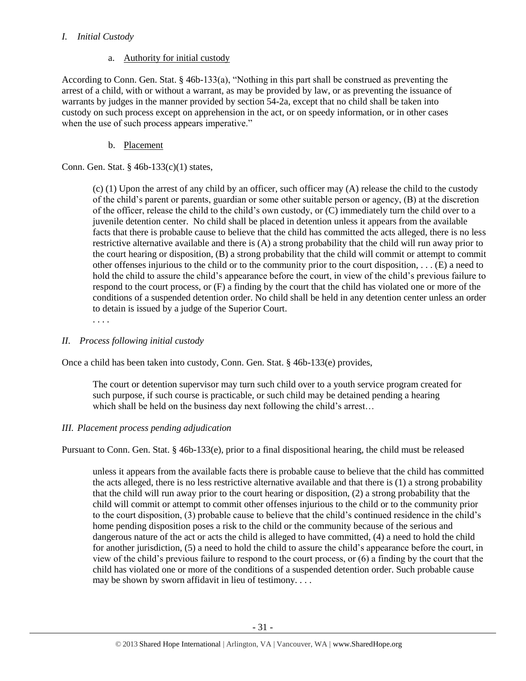## *I. Initial Custody*

## a. Authority for initial custody

According to Conn. Gen. Stat. § 46b-133(a), "Nothing in this part shall be construed as preventing the arrest of a child, with or without a warrant, as may be provided by law, or as preventing the issuance of warrants by judges in the manner provided by section 54-2a, except that no child shall be taken into custody on such process except on apprehension in the act, or on speedy information, or in other cases when the use of such process appears imperative."

## b. Placement

Conn. Gen. Stat. § 46b-133(c)(1) states,

(c) (1) Upon the arrest of any child by an officer, such officer may (A) release the child to the custody of the child's parent or parents, guardian or some other suitable person or agency, (B) at the discretion of the officer, release the child to the child's own custody, or (C) immediately turn the child over to a juvenile detention center. No child shall be placed in detention unless it appears from the available facts that there is probable cause to believe that the child has committed the acts alleged, there is no less restrictive alternative available and there is (A) a strong probability that the child will run away prior to the court hearing or disposition, (B) a strong probability that the child will commit or attempt to commit other offenses injurious to the child or to the community prior to the court disposition, . . . (E) a need to hold the child to assure the child's appearance before the court, in view of the child's previous failure to respond to the court process, or (F) a finding by the court that the child has violated one or more of the conditions of a suspended detention order. No child shall be held in any detention center unless an order to detain is issued by a judge of the Superior Court.

. . . .

## *II. Process following initial custody*

Once a child has been taken into custody, Conn. Gen. Stat. § 46b-133(e) provides,

The court or detention supervisor may turn such child over to a youth service program created for such purpose, if such course is practicable, or such child may be detained pending a hearing which shall be held on the business day next following the child's arrest...

## *III. Placement process pending adjudication*

Pursuant to Conn. Gen. Stat. § 46b-133(e), prior to a final dispositional hearing, the child must be released

unless it appears from the available facts there is probable cause to believe that the child has committed the acts alleged, there is no less restrictive alternative available and that there is (1) a strong probability that the child will run away prior to the court hearing or disposition, (2) a strong probability that the child will commit or attempt to commit other offenses injurious to the child or to the community prior to the court disposition, (3) probable cause to believe that the child's continued residence in the child's home pending disposition poses a risk to the child or the community because of the serious and dangerous nature of the act or acts the child is alleged to have committed, (4) a need to hold the child for another jurisdiction, (5) a need to hold the child to assure the child's appearance before the court, in view of the child's previous failure to respond to the court process, or (6) a finding by the court that the child has violated one or more of the conditions of a suspended detention order. Such probable cause may be shown by sworn affidavit in lieu of testimony. . . .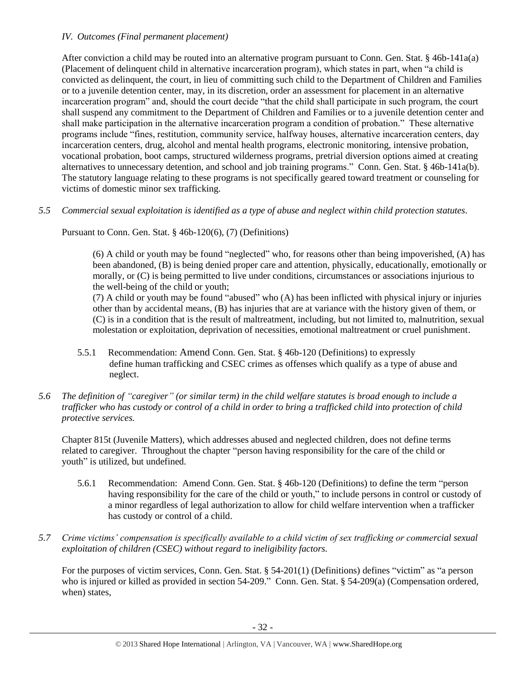## *IV. Outcomes (Final permanent placement)*

After conviction a child may be routed into an alternative program pursuant to Conn. Gen. Stat. § 46b-141a(a) (Placement of delinquent child in alternative incarceration program), which states in part, when "a child is convicted as delinquent, the court, in lieu of committing such child to the Department of Children and Families or to a juvenile detention center, may, in its discretion, order an assessment for placement in an alternative incarceration program" and, should the court decide "that the child shall participate in such program, the court shall suspend any commitment to the Department of Children and Families or to a juvenile detention center and shall make participation in the alternative incarceration program a condition of probation." These alternative programs include "fines, restitution, community service, halfway houses, alternative incarceration centers, day incarceration centers, drug, alcohol and mental health programs, electronic monitoring, intensive probation, vocational probation, boot camps, structured wilderness programs, pretrial diversion options aimed at creating alternatives to unnecessary detention, and school and job training programs." Conn. Gen. Stat. § 46b-141a(b). The statutory language relating to these programs is not specifically geared toward treatment or counseling for victims of domestic minor sex trafficking.

*5.5 Commercial sexual exploitation is identified as a type of abuse and neglect within child protection statutes.*

Pursuant to Conn. Gen. Stat. § 46b-120(6), (7) (Definitions)

(6) A child or youth may be found "neglected" who, for reasons other than being impoverished, (A) has been abandoned, (B) is being denied proper care and attention, physically, educationally, emotionally or morally, or (C) is being permitted to live under conditions, circumstances or associations injurious to the well-being of the child or youth;

(7) A child or youth may be found "abused" who (A) has been inflicted with physical injury or injuries other than by accidental means, (B) has injuries that are at variance with the history given of them, or (C) is in a condition that is the result of maltreatment, including, but not limited to, malnutrition, sexual molestation or exploitation, deprivation of necessities, emotional maltreatment or cruel punishment.

- 5.5.1 Recommendation: Amend Conn. Gen. Stat. § 46b-120 (Definitions) to expressly define human trafficking and CSEC crimes as offenses which qualify as a type of abuse and neglect.
- *5.6 The definition of "caregiver" (or similar term) in the child welfare statutes is broad enough to include a trafficker who has custody or control of a child in order to bring a trafficked child into protection of child protective services.*

Chapter 815t (Juvenile Matters), which addresses abused and neglected children, does not define terms related to caregiver. Throughout the chapter "person having responsibility for the care of the child or youth" is utilized, but undefined.

- 5.6.1 Recommendation: Amend Conn. Gen. Stat. § 46b-120 (Definitions) to define the term "person having responsibility for the care of the child or youth," to include persons in control or custody of a minor regardless of legal authorization to allow for child welfare intervention when a trafficker has custody or control of a child.
- *5.7 Crime victims' compensation is specifically available to a child victim of sex trafficking or commercial sexual exploitation of children (CSEC) without regard to ineligibility factors.*

For the purposes of victim services, Conn. Gen. Stat. § 54-201(1) (Definitions) defines "victim" as "a person who is injured or killed as provided in section 54-209." Conn. Gen. Stat. § 54-209(a) (Compensation ordered, when) states,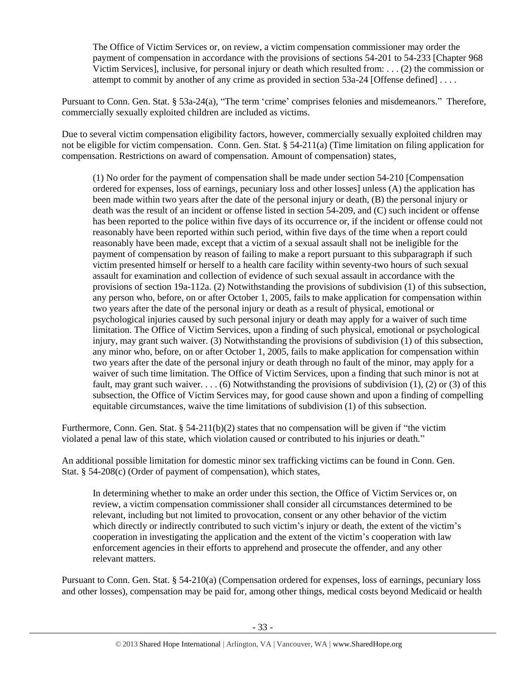The Office of Victim Services or, on review, a victim compensation commissioner may order the payment of compensation in accordance with the provisions of sections 54-201 to 54-233 [Chapter 968 Victim Services], inclusive, for personal injury or death which resulted from: . . . (2) the commission or attempt to commit by another of any crime as provided in section 53a-24 [Offense defined] . . . .

Pursuant to Conn. Gen. Stat. § 53a-24(a), "The term 'crime' comprises felonies and misdemeanors." Therefore, commercially sexually exploited children are included as victims.

Due to several victim compensation eligibility factors, however, commercially sexually exploited children may not be eligible for victim compensation. Conn. Gen. Stat. § 54-211(a) (Time limitation on filing application for compensation. Restrictions on award of compensation. Amount of compensation) states,

(1) No order for the payment of compensation shall be made under section 54-210 [Compensation ordered for expenses, loss of earnings, pecuniary loss and other losses] unless (A) the application has been made within two years after the date of the personal injury or death, (B) the personal injury or death was the result of an incident or offense listed in section 54-209, and (C) such incident or offense has been reported to the police within five days of its occurrence or, if the incident or offense could not reasonably have been reported within such period, within five days of the time when a report could reasonably have been made, except that a victim of a sexual assault shall not be ineligible for the payment of compensation by reason of failing to make a report pursuant to this subparagraph if such victim presented himself or herself to a health care facility within seventy-two hours of such sexual assault for examination and collection of evidence of such sexual assault in accordance with the provisions of section 19a-112a. (2) Notwithstanding the provisions of subdivision (1) of this subsection, any person who, before, on or after October 1, 2005, fails to make application for compensation within two years after the date of the personal injury or death as a result of physical, emotional or psychological injuries caused by such personal injury or death may apply for a waiver of such time limitation. The Office of Victim Services, upon a finding of such physical, emotional or psychological injury, may grant such waiver. (3) Notwithstanding the provisions of subdivision (1) of this subsection, any minor who, before, on or after October 1, 2005, fails to make application for compensation within two years after the date of the personal injury or death through no fault of the minor, may apply for a waiver of such time limitation. The Office of Victim Services, upon a finding that such minor is not at fault, may grant such waiver. . . . (6) Notwithstanding the provisions of subdivision (1), (2) or (3) of this subsection, the Office of Victim Services may, for good cause shown and upon a finding of compelling equitable circumstances, waive the time limitations of subdivision (1) of this subsection.

Furthermore, Conn. Gen. Stat. § 54-211(b)(2) states that no compensation will be given if "the victim" violated a penal law of this state, which violation caused or contributed to his injuries or death."

An additional possible limitation for domestic minor sex trafficking victims can be found in Conn. Gen. Stat. § 54-208(c) (Order of payment of compensation), which states,

In determining whether to make an order under this section, the Office of Victim Services or, on review, a victim compensation commissioner shall consider all circumstances determined to be relevant, including but not limited to provocation, consent or any other behavior of the victim which directly or indirectly contributed to such victim's injury or death, the extent of the victim's cooperation in investigating the application and the extent of the victim's cooperation with law enforcement agencies in their efforts to apprehend and prosecute the offender, and any other relevant matters.

Pursuant to Conn. Gen. Stat. § 54-210(a) (Compensation ordered for expenses, loss of earnings, pecuniary loss and other losses), compensation may be paid for, among other things, medical costs beyond Medicaid or health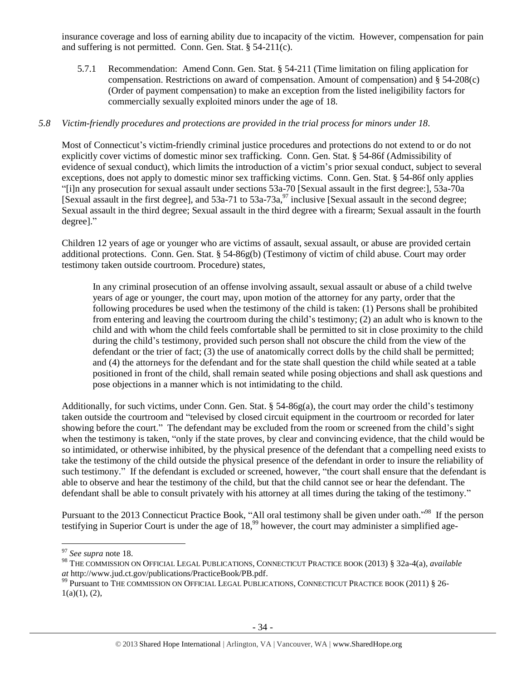insurance coverage and loss of earning ability due to incapacity of the victim. However, compensation for pain and suffering is not permitted. Conn. Gen. Stat. § 54-211(c).

5.7.1 Recommendation: Amend Conn. Gen. Stat. § 54-211 (Time limitation on filing application for compensation. Restrictions on award of compensation. Amount of compensation) and § 54-208(c) (Order of payment compensation) to make an exception from the listed ineligibility factors for commercially sexually exploited minors under the age of 18.

## *5.8 Victim-friendly procedures and protections are provided in the trial process for minors under 18.*

Most of Connecticut's victim-friendly criminal justice procedures and protections do not extend to or do not explicitly cover victims of domestic minor sex trafficking. Conn. Gen. Stat. § 54-86f (Admissibility of evidence of sexual conduct), which limits the introduction of a victim's prior sexual conduct, subject to several exceptions, does not apply to domestic minor sex trafficking victims. Conn. Gen. Stat. § 54-86f only applies "[i]n any prosecution for sexual assault under sections 53a-70 [Sexual assault in the first degree:], 53a-70a [Sexual assault in the first degree], and  $53a-71$  to  $53a-73a$ ,  $97$  inclusive [Sexual assault in the second degree; Sexual assault in the third degree; Sexual assault in the third degree with a firearm; Sexual assault in the fourth degree]."

Children 12 years of age or younger who are victims of assault, sexual assault, or abuse are provided certain additional protections. Conn. Gen. Stat. § 54-86g(b) (Testimony of victim of child abuse. Court may order testimony taken outside courtroom. Procedure) states,

In any criminal prosecution of an offense involving assault, sexual assault or abuse of a child twelve years of age or younger, the court may, upon motion of the attorney for any party, order that the following procedures be used when the testimony of the child is taken: (1) Persons shall be prohibited from entering and leaving the courtroom during the child's testimony; (2) an adult who is known to the child and with whom the child feels comfortable shall be permitted to sit in close proximity to the child during the child's testimony, provided such person shall not obscure the child from the view of the defendant or the trier of fact; (3) the use of anatomically correct dolls by the child shall be permitted; and (4) the attorneys for the defendant and for the state shall question the child while seated at a table positioned in front of the child, shall remain seated while posing objections and shall ask questions and pose objections in a manner which is not intimidating to the child.

Additionally, for such victims, under Conn. Gen. Stat. § 54-86g(a), the court may order the child's testimony taken outside the courtroom and "televised by closed circuit equipment in the courtroom or recorded for later showing before the court." The defendant may be excluded from the room or screened from the child's sight when the testimony is taken, "only if the state proves, by clear and convincing evidence, that the child would be so intimidated, or otherwise inhibited, by the physical presence of the defendant that a compelling need exists to take the testimony of the child outside the physical presence of the defendant in order to insure the reliability of such testimony." If the defendant is excluded or screened, however, "the court shall ensure that the defendant is able to observe and hear the testimony of the child, but that the child cannot see or hear the defendant. The defendant shall be able to consult privately with his attorney at all times during the taking of the testimony."

<span id="page-33-1"></span><span id="page-33-0"></span>Pursuant to the 2013 Connecticut Practice Book, "All oral testimony shall be given under oath."<sup>98</sup> If the person testifying in Superior Court is under the age of  $18<sup>99</sup>$  however, the court may administer a simplified age-

<sup>97</sup> *See supra* note [18.](#page-4-0)

<sup>98</sup> THE COMMISSION ON OFFICIAL LEGAL PUBLICATIONS, CONNECTICUT PRACTICE BOOK (2013) § 32a-4(a), *available at* http://www.jud.ct.gov/publications/PracticeBook/PB.pdf.

<sup>99</sup> Pursuant to THE COMMISSION ON OFFICIAL LEGAL PUBLICATIONS, CONNECTICUT PRACTICE BOOK (2011) § 26-  $1(a)(1), (2),$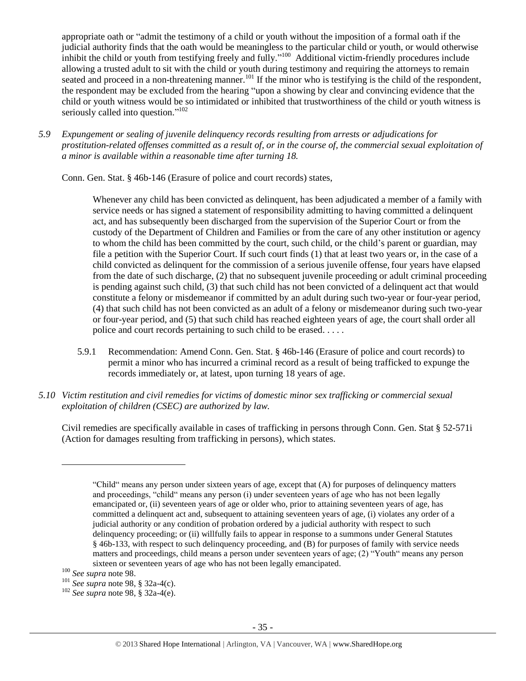appropriate oath or "admit the testimony of a child or youth without the imposition of a formal oath if the judicial authority finds that the oath would be meaningless to the particular child or youth, or would otherwise inhibit the child or youth from testifying freely and fully."<sup>100</sup> Additional victim-friendly procedures include allowing a trusted adult to sit with the child or youth during testimony and requiring the attorneys to remain seated and proceed in a non-threatening manner.<sup>101</sup> If the minor who is testifying is the child of the respondent, the respondent may be excluded from the hearing "upon a showing by clear and convincing evidence that the child or youth witness would be so intimidated or inhibited that trustworthiness of the child or youth witness is seriously called into question."<sup>102</sup>

*5.9 Expungement or sealing of juvenile delinquency records resulting from arrests or adjudications for prostitution-related offenses committed as a result of, or in the course of, the commercial sexual exploitation of a minor is available within a reasonable time after turning 18.*

Conn. Gen. Stat. § 46b-146 (Erasure of police and court records) states,

Whenever any child has been convicted as delinquent, has been adjudicated a member of a family with service needs or has signed a statement of responsibility admitting to having committed a delinquent act, and has subsequently been discharged from the supervision of the Superior Court or from the custody of the Department of Children and Families or from the care of any other institution or agency to whom the child has been committed by the court, such child, or the child's parent or guardian, may file a petition with the Superior Court. If such court finds (1) that at least two years or, in the case of a child convicted as delinquent for the commission of a serious juvenile offense, four years have elapsed from the date of such discharge, (2) that no subsequent juvenile proceeding or adult criminal proceeding is pending against such child, (3) that such child has not been convicted of a delinquent act that would constitute a felony or misdemeanor if committed by an adult during such two-year or four-year period, (4) that such child has not been convicted as an adult of a felony or misdemeanor during such two-year or four-year period, and (5) that such child has reached eighteen years of age, the court shall order all police and court records pertaining to such child to be erased. . . . .

- 5.9.1 Recommendation: Amend Conn. Gen. Stat. § 46b-146 (Erasure of police and court records) to permit a minor who has incurred a criminal record as a result of being trafficked to expunge the records immediately or, at latest, upon turning 18 years of age.
- *5.10 Victim restitution and civil remedies for victims of domestic minor sex trafficking or commercial sexual exploitation of children (CSEC) are authorized by law.*

Civil remedies are specifically available in cases of trafficking in persons through Conn. Gen. Stat § 52-571i (Action for damages resulting from trafficking in persons), which states.

 $\overline{a}$ 

<sup>102</sup> *See supra* note [98,](#page-33-1) § 32a-4(e).

<sup>&</sup>quot;Child" means any person under sixteen years of age, except that (A) for purposes of delinquency matters and proceedings, "child" means any person (i) under seventeen years of age who has not been legally emancipated or, (ii) seventeen years of age or older who, prior to attaining seventeen years of age, has committed a delinquent act and, subsequent to attaining seventeen years of age, (i) violates any order of a judicial authority or any condition of probation ordered by a judicial authority with respect to such delinquency proceeding; or (ii) willfully fails to appear in response to a summons under General Statutes § 46b-133, with respect to such delinquency proceeding, and (B) for purposes of family with service needs matters and proceedings, child means a person under seventeen years of age; (2) "Youth" means any person sixteen or seventeen years of age who has not been legally emancipated.

<sup>100</sup> *See supra* not[e 98.](#page-33-0)

<sup>101</sup> *See supra* note [98,](#page-33-1) § 32a-4(c).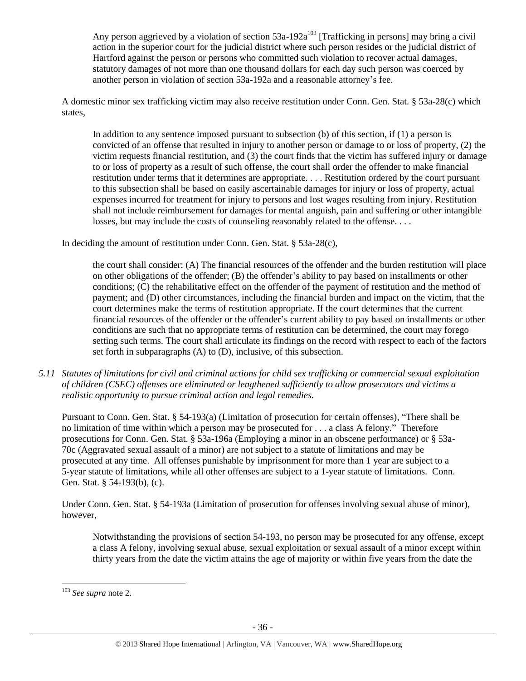Any person aggrieved by a violation of section  $53a-192a^{103}$  [Trafficking in persons] may bring a civil action in the superior court for the judicial district where such person resides or the judicial district of Hartford against the person or persons who committed such violation to recover actual damages, statutory damages of not more than one thousand dollars for each day such person was coerced by another person in violation of section 53a-192a and a reasonable attorney's fee.

A domestic minor sex trafficking victim may also receive restitution under Conn. Gen. Stat. § 53a-28(c) which states,

In addition to any sentence imposed pursuant to subsection (b) of this section, if (1) a person is convicted of an offense that resulted in injury to another person or damage to or loss of property, (2) the victim requests financial restitution, and (3) the court finds that the victim has suffered injury or damage to or loss of property as a result of such offense, the court shall order the offender to make financial restitution under terms that it determines are appropriate. . . . Restitution ordered by the court pursuant to this subsection shall be based on easily ascertainable damages for injury or loss of property, actual expenses incurred for treatment for injury to persons and lost wages resulting from injury. Restitution shall not include reimbursement for damages for mental anguish, pain and suffering or other intangible losses, but may include the costs of counseling reasonably related to the offense....

In deciding the amount of restitution under Conn. Gen. Stat. § 53a-28(c),

the court shall consider: (A) The financial resources of the offender and the burden restitution will place on other obligations of the offender; (B) the offender's ability to pay based on installments or other conditions; (C) the rehabilitative effect on the offender of the payment of restitution and the method of payment; and (D) other circumstances, including the financial burden and impact on the victim, that the court determines make the terms of restitution appropriate. If the court determines that the current financial resources of the offender or the offender's current ability to pay based on installments or other conditions are such that no appropriate terms of restitution can be determined, the court may forego setting such terms. The court shall articulate its findings on the record with respect to each of the factors set forth in subparagraphs (A) to (D), inclusive, of this subsection.

*5.11 Statutes of limitations for civil and criminal actions for child sex trafficking or commercial sexual exploitation of children (CSEC) offenses are eliminated or lengthened sufficiently to allow prosecutors and victims a realistic opportunity to pursue criminal action and legal remedies.*

Pursuant to Conn. Gen. Stat. § 54-193(a) (Limitation of prosecution for certain offenses), "There shall be no limitation of time within which a person may be prosecuted for . . . a class A felony." Therefore prosecutions for Conn. Gen. Stat. § 53a-196a (Employing a minor in an obscene performance) or § 53a-70c (Aggravated sexual assault of a minor) are not subject to a statute of limitations and may be prosecuted at any time. All offenses punishable by imprisonment for more than 1 year are subject to a 5-year statute of limitations, while all other offenses are subject to a 1-year statute of limitations. Conn. Gen. Stat. § 54-193(b), (c).

Under Conn. Gen. Stat. § 54-193a (Limitation of prosecution for offenses involving sexual abuse of minor), however,

Notwithstanding the provisions of section 54-193, no person may be prosecuted for any offense, except a class A felony, involving sexual abuse, sexual exploitation or sexual assault of a minor except within thirty years from the date the victim attains the age of majority or within five years from the date the

<sup>103</sup> *See supra* not[e 2.](#page-0-0)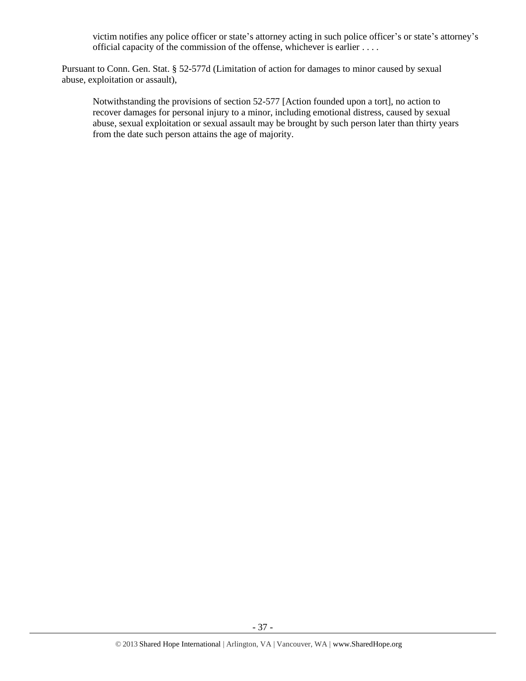victim notifies any police officer or state's attorney acting in such police officer's or state's attorney's official capacity of the commission of the offense, whichever is earlier . . . .

Pursuant to Conn. Gen. Stat. § 52-577d (Limitation of action for damages to minor caused by sexual abuse, exploitation or assault),

Notwithstanding the provisions of section 52-577 [Action founded upon a tort], no action to recover damages for personal injury to a minor, including emotional distress, caused by sexual abuse, sexual exploitation or sexual assault may be brought by such person later than thirty years from the date such person attains the age of majority.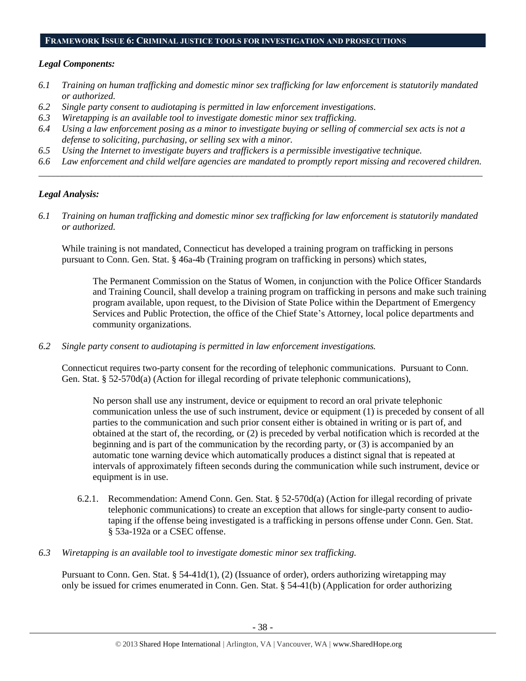#### **FRAMEWORK ISSUE 6: CRIMINAL JUSTICE TOOLS FOR INVESTIGATION AND PROSECUTIONS**

## *Legal Components:*

- *6.1 Training on human trafficking and domestic minor sex trafficking for law enforcement is statutorily mandated or authorized.*
- *6.2 Single party consent to audiotaping is permitted in law enforcement investigations.*
- *6.3 Wiretapping is an available tool to investigate domestic minor sex trafficking.*
- *6.4 Using a law enforcement posing as a minor to investigate buying or selling of commercial sex acts is not a defense to soliciting, purchasing, or selling sex with a minor.*
- *6.5 Using the Internet to investigate buyers and traffickers is a permissible investigative technique.*
- *6.6 Law enforcement and child welfare agencies are mandated to promptly report missing and recovered children. \_\_\_\_\_\_\_\_\_\_\_\_\_\_\_\_\_\_\_\_\_\_\_\_\_\_\_\_\_\_\_\_\_\_\_\_\_\_\_\_\_\_\_\_\_\_\_\_\_\_\_\_\_\_\_\_\_\_\_\_\_\_\_\_\_\_\_\_\_\_\_\_\_\_\_\_\_\_\_\_\_\_\_\_\_\_\_\_\_\_\_\_\_\_*

## *Legal Analysis:*

*6.1 Training on human trafficking and domestic minor sex trafficking for law enforcement is statutorily mandated or authorized.*

While training is not mandated, Connecticut has developed a training program on trafficking in persons pursuant to Conn. Gen. Stat. § 46a-4b (Training program on trafficking in persons) which states,

The Permanent Commission on the Status of Women, in conjunction with the Police Officer Standards and Training Council, shall develop a training program on trafficking in persons and make such training program available, upon request, to the Division of State Police within the Department of Emergency Services and Public Protection, the office of the Chief State's Attorney, local police departments and community organizations.

*6.2 Single party consent to audiotaping is permitted in law enforcement investigations.*

Connecticut requires two-party consent for the recording of telephonic communications. Pursuant to Conn. Gen. Stat. § 52-570d(a) (Action for illegal recording of private telephonic communications),

No person shall use any instrument, device or equipment to record an oral private telephonic communication unless the use of such instrument, device or equipment (1) is preceded by consent of all parties to the communication and such prior consent either is obtained in writing or is part of, and obtained at the start of, the recording, or (2) is preceded by verbal notification which is recorded at the beginning and is part of the communication by the recording party, or (3) is accompanied by an automatic tone warning device which automatically produces a distinct signal that is repeated at intervals of approximately fifteen seconds during the communication while such instrument, device or equipment is in use.

- 6.2.1. Recommendation: Amend Conn. Gen. Stat. § 52-570d(a) (Action for illegal recording of private telephonic communications) to create an exception that allows for single-party consent to audiotaping if the offense being investigated is a trafficking in persons offense under Conn. Gen. Stat. § 53a-192a or a CSEC offense.
- *6.3 Wiretapping is an available tool to investigate domestic minor sex trafficking.*

Pursuant to Conn. Gen. Stat. § 54-41d(1), (2) (Issuance of order), orders authorizing wiretapping may only be issued for crimes enumerated in Conn. Gen. Stat. § 54-41(b) (Application for order authorizing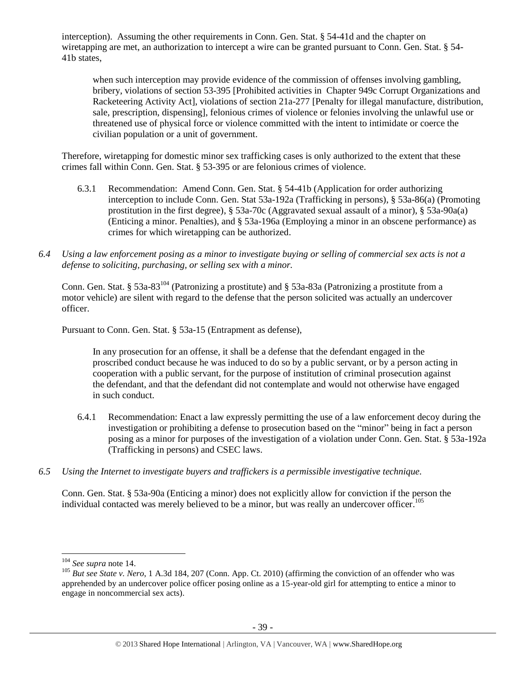interception). Assuming the other requirements in Conn. Gen. Stat. § 54-41d and the chapter on wiretapping are met, an authorization to intercept a wire can be granted pursuant to Conn. Gen. Stat. § 54- 41b states,

when such interception may provide evidence of the commission of offenses involving gambling, bribery, violations of section 53-395 [Prohibited activities in Chapter 949c Corrupt Organizations and Racketeering Activity Act], violations of section 21a-277 [Penalty for illegal manufacture, distribution, sale, prescription, dispensing], felonious crimes of violence or felonies involving the unlawful use or threatened use of physical force or violence committed with the intent to intimidate or coerce the civilian population or a unit of government.

Therefore, wiretapping for domestic minor sex trafficking cases is only authorized to the extent that these crimes fall within Conn. Gen. Stat. § 53-395 or are felonious crimes of violence.

- 6.3.1 Recommendation: Amend Conn. Gen. Stat. § 54-41b (Application for order authorizing interception to include Conn. Gen. Stat 53a-192a (Trafficking in persons), § 53a-86(a) (Promoting prostitution in the first degree), § 53a-70c (Aggravated sexual assault of a minor), § 53a-90a(a) (Enticing a minor. Penalties), and § 53a-196a (Employing a minor in an obscene performance) as crimes for which wiretapping can be authorized.
- *6.4 Using a law enforcement posing as a minor to investigate buying or selling of commercial sex acts is not a defense to soliciting, purchasing, or selling sex with a minor.*

Conn. Gen. Stat. § 53a-83<sup>104</sup> (Patronizing a prostitute) and § 53a-83a (Patronizing a prostitute from a motor vehicle) are silent with regard to the defense that the person solicited was actually an undercover officer.

Pursuant to Conn. Gen. Stat. § 53a-15 (Entrapment as defense),

In any prosecution for an offense, it shall be a defense that the defendant engaged in the proscribed conduct because he was induced to do so by a public servant, or by a person acting in cooperation with a public servant, for the purpose of institution of criminal prosecution against the defendant, and that the defendant did not contemplate and would not otherwise have engaged in such conduct.

- 6.4.1 Recommendation: Enact a law expressly permitting the use of a law enforcement decoy during the investigation or prohibiting a defense to prosecution based on the "minor" being in fact a person posing as a minor for purposes of the investigation of a violation under Conn. Gen. Stat. § 53a-192a (Trafficking in persons) and CSEC laws.
- *6.5 Using the Internet to investigate buyers and traffickers is a permissible investigative technique.*

Conn. Gen. Stat. § 53a-90a (Enticing a minor) does not explicitly allow for conviction if the person the individual contacted was merely believed to be a minor, but was really an undercover officer.<sup>105</sup>

<sup>104</sup> *See supra* not[e 14.](#page-3-0)

<sup>&</sup>lt;sup>105</sup> *But see State v. Nero*, 1 A.3d 184, 207 (Conn. App. Ct. 2010) (affirming the conviction of an offender who was apprehended by an undercover police officer posing online as a 15-year-old girl for attempting to entice a minor to engage in noncommercial sex acts).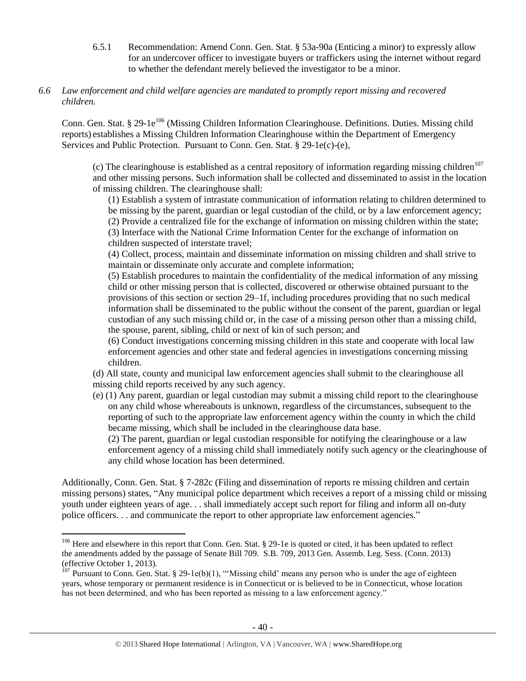- 6.5.1 Recommendation: Amend Conn. Gen. Stat. § 53a-90a (Enticing a minor) to expressly allow for an undercover officer to investigate buyers or traffickers using the internet without regard to whether the defendant merely believed the investigator to be a minor.
- *6.6 Law enforcement and child welfare agencies are mandated to promptly report missing and recovered children.*

Conn. Gen. Stat. § 29-1e<sup>106</sup> (Missing Children Information Clearinghouse. Definitions. Duties. Missing child reports) establishes a Missing Children Information Clearinghouse within the Department of Emergency Services and Public Protection. Pursuant to Conn. Gen. Stat. § 29-1e(c)-(e),

(c) The clearinghouse is established as a central repository of information regarding missing children<sup>107</sup> and other missing persons. Such information shall be collected and disseminated to assist in the location of missing children. The clearinghouse shall:

(1) Establish a system of intrastate communication of information relating to children determined to be missing by the parent, guardian or legal custodian of the child, or by a law enforcement agency; (2) Provide a centralized file for the exchange of information on missing children within the state; (3) Interface with the National Crime Information Center for the exchange of information on children suspected of interstate travel;

(4) Collect, process, maintain and disseminate information on missing children and shall strive to maintain or disseminate only accurate and complete information;

(5) Establish procedures to maintain the confidentiality of the medical information of any missing child or other missing person that is collected, discovered or otherwise obtained pursuant to the provisions of this section or section 29–1f, including procedures providing that no such medical information shall be disseminated to the public without the consent of the parent, guardian or legal custodian of any such missing child or, in the case of a missing person other than a missing child, the spouse, parent, sibling, child or next of kin of such person; and

(6) Conduct investigations concerning missing children in this state and cooperate with local law enforcement agencies and other state and federal agencies in investigations concerning missing children.

(d) All state, county and municipal law enforcement agencies shall submit to the clearinghouse all missing child reports received by any such agency.

(e) (1) Any parent, guardian or legal custodian may submit a missing child report to the clearinghouse on any child whose whereabouts is unknown, regardless of the circumstances, subsequent to the reporting of such to the appropriate law enforcement agency within the county in which the child became missing, which shall be included in the clearinghouse data base.

(2) The parent, guardian or legal custodian responsible for notifying the clearinghouse or a law enforcement agency of a missing child shall immediately notify such agency or the clearinghouse of any child whose location has been determined.

Additionally, Conn. Gen. Stat. § 7-282c (Filing and dissemination of reports re missing children and certain missing persons) states, "Any municipal police department which receives a report of a missing child or missing youth under eighteen years of age. . . shall immediately accept such report for filing and inform all on-duty police officers. . . and communicate the report to other appropriate law enforcement agencies."

<sup>&</sup>lt;sup>106</sup> Here and elsewhere in this report that Conn. Gen. Stat. § 29-1e is quoted or cited, it has been updated to reflect the amendments added by the passage of Senate Bill 709. S.B. 709, 2013 Gen. Assemb. Leg. Sess. (Conn. 2013) (effective October 1, 2013).

<sup>&</sup>lt;sup>107</sup> Pursuant to Conn. Gen. Stat. § 29-1e(b)(1), "'Missing child' means any person who is under the age of eighteen years, whose temporary or permanent residence is in Connecticut or is believed to be in Connecticut, whose location has not been determined, and who has been reported as missing to a law enforcement agency."